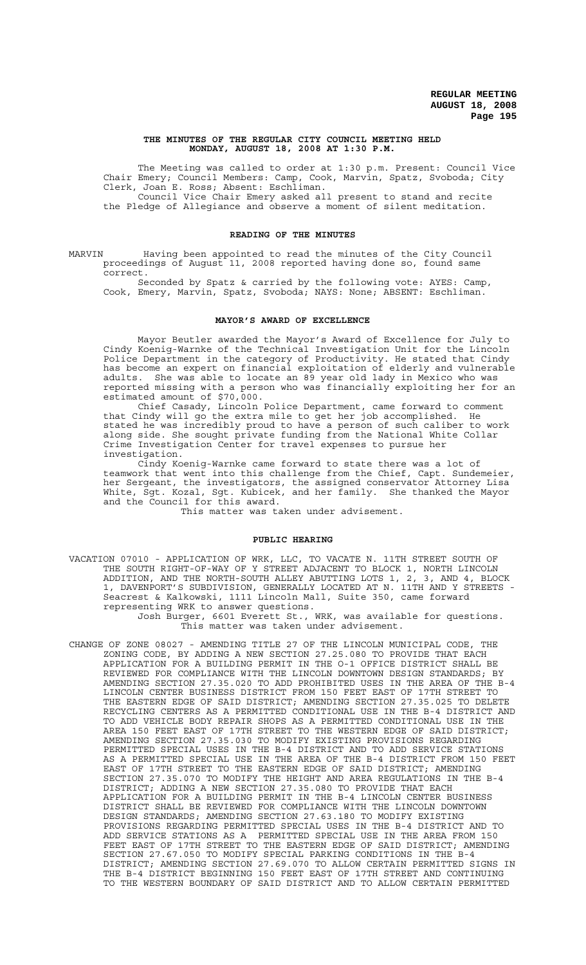#### **THE MINUTES OF THE REGULAR CITY COUNCIL MEETING HELD MONDAY, AUGUST 18, 2008 AT 1:30 P.M.**

The Meeting was called to order at 1:30 p.m. Present: Council Vice Chair Emery; Council Members: Camp, Cook, Marvin, Spatz, Svoboda; City Clerk, Joan E. Ross; Absent: Eschliman. Council Vice Chair Emery asked all present to stand and recite

the Pledge of Allegiance and observe a moment of silent meditation.

## **READING OF THE MINUTES**

MARVIN Having been appointed to read the minutes of the City Council proceedings of August 11, 2008 reported having done so, found same correct.

Seconded by Spatz & carried by the following vote: AYES: Camp, Cook, Emery, Marvin, Spatz, Svoboda; NAYS: None; ABSENT: Eschliman.

# **MAYOR'S AWARD OF EXCELLENCE**

Mayor Beutler awarded the Mayor's Award of Excellence for July to Cindy Koenig-Warnke of the Technical Investigation Unit for the Lincoln Police Department in the category of Productivity. He stated that Cindy has become an expert on financial exploitation of elderly and vulnerable adults. She was able to locate an 89 year old lady in Mexico who was reported missing with a person who was financially exploiting her for an estimated amount of \$70,000.

Chief Casady, Lincoln Police Department, came forward to comment that Cindy will go the extra mile to get her job accomplished. He stated he was incredibly proud to have a person of such caliber to work along side. She sought private funding from the National White Collar Crime Investigation Center for travel expenses to pursue her investigation.

Cindy Koenig-Warnke came forward to state there was a lot of teamwork that went into this challenge from the Chief, Capt. Sundemeier, her Sergeant, the investigators, the assigned conservator Attorney Lisa White, Sgt. Kozal, Sgt. Kubicek, and her family. She thanked the Mayor and the Council for this award.

This matter was taken under advisement.

#### **PUBLIC HEARING**

VACATION 07010 - APPLICATION OF WRK, LLC, TO VACATE N. 11TH STREET SOUTH OF THE SOUTH RIGHT-OF-WAY OF Y STREET ADJACENT TO BLOCK 1, NORTH LINCOLN ADDITION, AND THE NORTH-SOUTH ALLEY ABUTTING LOTS 1, 2, 3, AND 4, BLOCK 1, DAVENPORT'S SUBDIVISION, GENERALLY LOCATED AT N. 11TH AND Y STREETS - Seacrest & Kalkowski, 1111 Lincoln Mall, Suite 350, came forward representing WRK to answer questions.

Josh Burger, 6601 Everett St., WRK, was available for questions. This matter was taken under advisement.

CHANGE OF ZONE 08027 - AMENDING TITLE 27 OF THE LINCOLN MUNICIPAL CODE, THE ZONING CODE, BY ADDING A NEW SECTION 27.25.080 TO PROVIDE THAT EACH APPLICATION FOR A BUILDING PERMIT IN THE O-1 OFFICE DISTRICT SHALL BE REVIEWED FOR COMPLIANCE WITH THE LINCOLN DOWNTOWN DESIGN STANDARDS; BY AMENDING SECTION 27.35.020 TO ADD PROHIBITED USES IN THE AREA OF THE B-4 LINCOLN CENTER BUSINESS DISTRICT FROM 150 FEET EAST OF 17TH STREET TO THE EASTERN EDGE OF SAID DISTRICT; AMENDING SECTION 27.35.025 TO DELETE RECYCLING CENTERS AS A PERMITTED CONDITIONAL USE IN THE B-4 DISTRICT AND TO ADD VEHICLE BODY REPAIR SHOPS AS A PERMITTED CONDITIONAL USE IN THE AREA 150 FEET EAST OF 17TH STREET TO THE WESTERN EDGE OF SAID DISTRICT; AMENDING SECTION 27.35.030 TO MODIFY EXISTING PROVISIONS REGARDING PERMITTED SPECIAL USES IN THE B-4 DISTRICT AND TO ADD SERVICE STATIONS AS A PERMITTED SPECIAL USE IN THE AREA OF THE B-4 DISTRICT FROM 150 FEET EAST OF 17TH STREET TO THE EASTERN EDGE OF SAID DISTRICT; AMENDING SECTION 27.35.070 TO MODIFY THE HEIGHT AND AREA REGULATIONS IN THE B-4 DISTRICT; ADDING A NEW SECTION 27.35.080 TO PROVIDE THAT EACH APPLICATION FOR A BUILDING PERMIT IN THE B-4 LINCOLN CENTER BUSINESS DISTRICT SHALL BE REVIEWED FOR COMPLIANCE WITH THE LINCOLN DOWNTOWN DESIGN STANDARDS; AMENDING SECTION 27.63.180 TO MODIFY EXISTING PROVISIONS REGARDING PERMITTED SPECIAL USES IN THE B-4 DISTRICT AND TO ADD SERVICE STATIONS AS A PERMITTED SPECIAL USE IN THE AREA FROM 150 FEET EAST OF 17TH STREET TO THE EASTERN EDGE OF SAID DISTRICT; AMENDING SECTION 27.67.050 TO MODIFY SPECIAL PARKING CONDITIONS IN THE B-4 DISTRICT; AMENDING SECTION 27.69.070 TO ALLOW CERTAIN PERMITTED SIGNS IN THE B-4 DISTRICT BEGINNING 150 FEET EAST OF 17TH STREET AND CONTINUING TO THE WESTERN BOUNDARY OF SAID DISTRICT AND TO ALLOW CERTAIN PERMITTED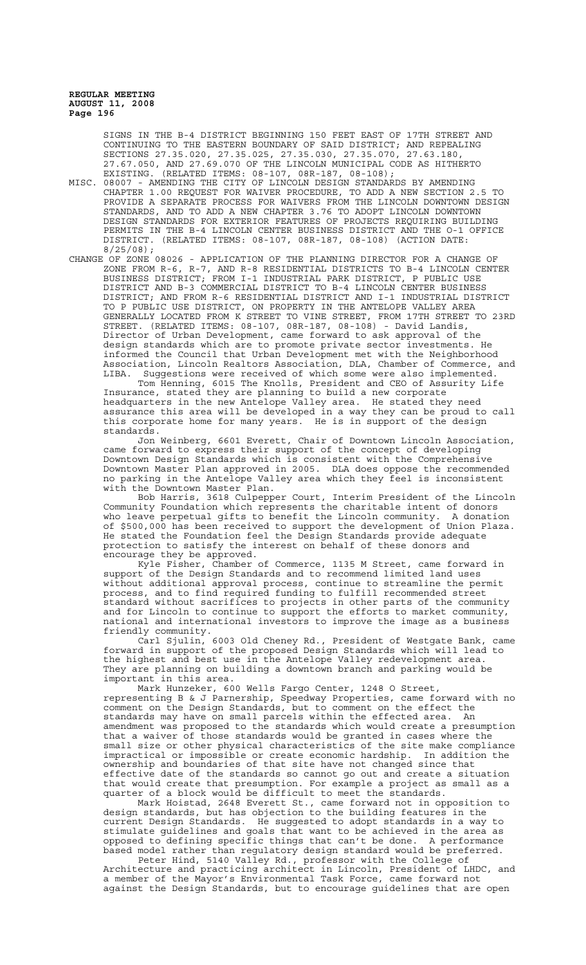SIGNS IN THE B-4 DISTRICT BEGINNING 150 FEET EAST OF 17TH STREET AND CONTINUING TO THE EASTERN BOUNDARY OF SAID DISTRICT; AND REPEALING SECTIONS 27.35.020, 27.35.025, 27.35.030, 27.35.070, 27.67.050, AND 27.69.070 OF THE LINCOLN MUNICIPAL CODE AS HITHERTO EXISTING. (RELATED ITEMS: 08-107, 08R-187, 08-108);

MISC. 08007 - AMENDING THE CITY OF LINCOLN DESIGN STANDARDS BY AMENDING CHAPTER 1.00 REQUEST FOR WAIVER PROCEDURE, TO ADD A NEW SECTION 2.5 TO PROVIDE A SEPARATE PROCESS FOR WAIVERS FROM THE LINCOLN DOWNTOWN DESIGN STANDARDS, AND TO ADD A NEW CHAPTER 3.76 TO ADOPT LINCOLN DOWNTOWN DESIGN STANDARDS FOR EXTERIOR FEATURES OF PROJECTS REQUIRING BUILDING PERMITS IN THE B-4 LINCOLN CENTER BUSINESS DISTRICT AND THE O-1 OFFICE DISTRICT. (RELATED ITEMS: 08-107, 08R-187, 08-108) (ACTION DATE: 8/25/08);

CHANGE OF ZONE 08026 - APPLICATION OF THE PLANNING DIRECTOR FOR A CHANGE OF ZONE FROM R-6, R-7, AND R-8 RESIDENTIAL DISTRICTS TO B-4 LINCOLN CENTER BUSINESS DISTRICT; FROM I-1 INDUSTRIAL PARK DISTRICT, P PUBLIC USE DISTRICT AND B-3 COMMERCIAL DISTRICT TO B-4 LINCOLN CENTER BUSINESS DISTRICT; AND FROM R-6 RESIDENTIAL DISTRICT AND I-1 INDUSTRIAL DISTRICT TO P PUBLIC USE DISTRICT, ON PROPERTY IN THE ANTELOPE VALLEY AREA GENERALLY LOCATED FROM K STREET TO VINE STREET, FROM 17TH STREET TO 23RD STREET. (RELATED ITEMS: 08-107, 08R-187, 08-108) - David Landis, Director of Urban Development, came forward to ask approval of the design standards which are to promote private sector investments. He informed the Council that Urban Development met with the Neighborhood Association, Lincoln Realtors Association, DLA, Chamber of Commerce, and LIBA. Suggestions were received of which some were also implemented.

Tom Henning, 6015 The Knolls, President and CEO of Assurity Life Insurance, stated they are planning to build a new corporate headquarters in the new Antelope Valley area. He stated they need assurance this area will be developed in a way they can be proud to call this corporate home for many years. He is in support of the design standards.

Jon Weinberg, 6601 Everett, Chair of Downtown Lincoln Association, came forward to express their support of the concept of developing Downtown Design Standards which is consistent with the Comprehensive Downtown Master Plan approved in 2005. DLA does oppose the recommended no parking in the Antelope Valley area which they feel is inconsistent with the Downtown Master Plan.

Bob Harris, 3618 Culpepper Court, Interim President of the Lincoln Community Foundation which represents the charitable intent of donors who leave perpetual gifts to benefit the Lincoln community. A donation of \$500,000 has been received to support the development of Union Plaza. He stated the Foundation feel the Design Standards provide adequate protection to satisfy the interest on behalf of these donors and encourage they be approved.

Kyle Fisher, Chamber of Commerce, 1135 M Street, came forward in support of the Design Standards and to recommend limited land uses without additional approval process, continue to streamline the permit process, and to find required funding to fulfill recommended street standard without sacrifices to projects in other parts of the community and for Lincoln to continue to support the efforts to market community, national and international investors to improve the image as a business friendly community.

Carl Sjulin, 6003 Old Cheney Rd., President of Westgate Bank, came forward in support of the proposed Design Standards which will lead to the highest and best use in the Antelope Valley redevelopment area. They are planning on building a downtown branch and parking would be important in this area.

Mark Hunzeker, 600 Wells Fargo Center, 1248 O Street, representing B & J Parnership, Speedway Properties, came forward with no comment on the Design Standards, but to comment on the effect the standards may have on small parcels within the effected area. An amendment was proposed to the standards which would create a presumption that a waiver of those standards would be granted in cases where the small size or other physical characteristics of the site make compliance impractical or impossible or create economic hardship. In addition the ownership and boundaries of that site have not changed since that effective date of the standards so cannot go out and create a situation that would create that presumption. For example a project as small as a quarter of a block would be difficult to meet the standards.

Mark Hoistad, 2648 Everett St., came forward not in opposition to design standards, but has objection to the building features in the current Design Standards. He suggested to adopt standards in a way to stimulate guidelines and goals that want to be achieved in the area as opposed to defining specific things that can't be done. A performance based model rather than regulatory design standard would be preferred.

Peter Hind, 5140 Valley Rd., professor with the College of Architecture and practicing architect in Lincoln, President of LHDC, and a member of the Mayor's Environmental Task Force, came forward not against the Design Standards, but to encourage guidelines that are open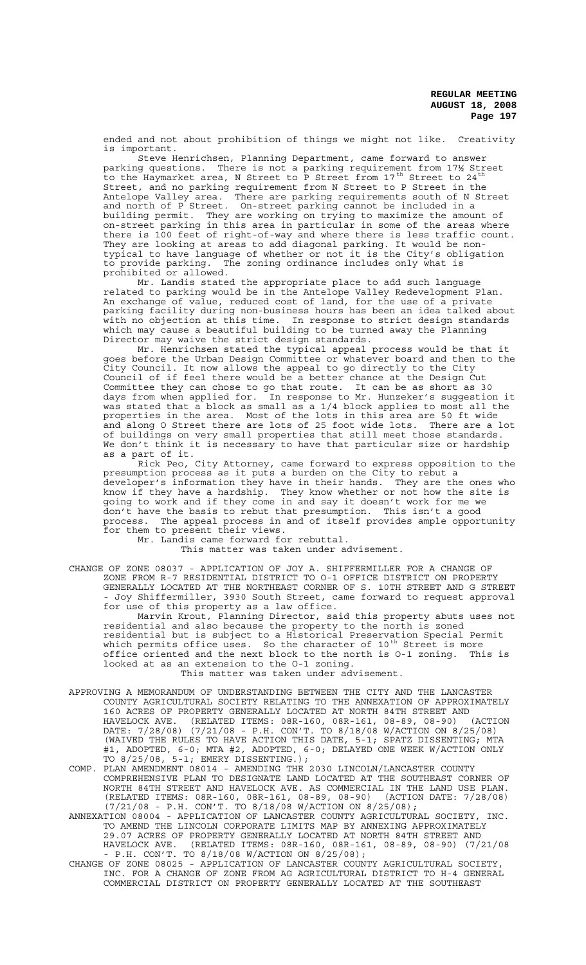ended and not about prohibition of things we might not like. Creativity is important.

Steve Henrichsen, Planning Department, came forward to answer parking questions. There is not a parking requirement from 17½ Street to the Haymarket area, N Street to P Street from 17<sup>th</sup> Street to 24<sup>th</sup> Street, and no parking requirement from N Street to P Street in the Antelope Valley area. There are parking requirements south of N Street and north of P Street. On-street parking cannot be included in a building permit. They are working on trying to maximize the amount of on-street parking in this area in particular in some of the areas where there is 100 feet of right-of-way and where there is less traffic count. They are looking at areas to add diagonal parking. It would be nontypical to have language of whether or not it is the City's obligation The zoning ordinance includes only what is to provide parking. The prohibited or allowed.

Mr. Landis stated the appropriate place to add such language related to parking would be in the Antelope Valley Redevelopment Plan. An exchange of value, reduced cost of land, for the use of a private parking facility during non-business hours has been an idea talked about with no objection at this time. In response to strict design standards which may cause a beautiful building to be turned away the Planning Director may waive the strict design standards.

Mr. Henrichsen stated the typical appeal process would be that it goes before the Urban Design Committee or whatever board and then to the City Council. It now allows the appeal to go directly to the City Council of if feel there would be a better chance at the Design Cut Committee they can chose to go that route. It can be as short as 30 days from when applied for. In response to Mr. Hunzeker's suggestion it was stated that a block as small as a 1/4 block applies to most all the properties in the area. Most of the lots in this area are 50 ft wide and along O Street there are lots of 25 foot wide lots. There are a lot of buildings on very small properties that still meet those standards. We don't think it is necessary to have that particular size or hardship as a part of it.

Rick Peo, City Attorney, came forward to express opposition to the presumption process as it puts a burden on the City to rebut a developer's information they have in their hands. They are the ones who know if they have a hardship. They know whether or not how the site is going to work and if they come in and say it doesn't work for me we don't have the basis to rebut that presumption. This isn't a good process. The appeal process in and of itself provides ample opportunity for them to present their views.

Mr. Landis came forward for rebuttal.

This matter was taken under advisement.

CHANGE OF ZONE 08037 - APPLICATION OF JOY A. SHIFFERMILLER FOR A CHANGE OF ZONE FROM R-7 RESIDENTIAL DISTRICT TO O-1 OFFICE DISTRICT ON PROPERTY GENERALLY LOCATED AT THE NORTHEAST CORNER OF S. 10TH STREET AND G STREET - Joy Shiffermiller, 3930 South Street, came forward to request approval for use of this property as a law office.

Marvin Krout, Planning Director, said this property abuts uses not residential and also because the property to the north is zoned residential but is subject to a Historical Preservation Special Permit which permits office uses. So the character of 10<sup>th</sup> Street is more office oriented and the next block to the north is O-1 zoning. This is looked at as an extension to the O-1 zoning.

This matter was taken under advisement.

- APPROVING A MEMORANDUM OF UNDERSTANDING BETWEEN THE CITY AND THE LANCASTER COUNTY AGRICULTURAL SOCIETY RELATING TO THE ANNEXATION OF APPROXIMATELY 160 ACRES OF PROPERTY GENERALLY LOCATED AT NORTH 84TH STREET AND HAVELOCK AVE. (RELATED ITEMS: 08R-160, 08R-161, 08-89, 08-90) (ACTION DATE: 7/28/08) (7/21/08 - P.H. CON'T. TO 8/18/08 W/ACTION ON 8/25/08) (WAIVED THE RULES TO HAVE ACTION THIS DATE, 5-1; SPATZ DISSENTING; MTA #1, ADOPTED, 6-0; MTA #2, ADOPTED, 6-0; DELAYED ONE WEEK W/ACTION ONLY TO 8/25/08, 5-1; EMERY DISSENTING.);
- COMP. PLAN AMENDMENT 08014 AMENDING THE 2030 LINCOLN/LANCASTER COUNTY COMPREHENSIVE PLAN TO DESIGNATE LAND LOCATED AT THE SOUTHEAST CORNER OF NORTH 84TH STREET AND HAVELOCK AVE. AS COMMERCIAL IN THE LAND USE PLAN. (RELATED ITEMS: 08R-160, 08R-161, 08-89, 08-90) (ACTION DATE: 7/28/08) (7/21/08 - P.H. CON'T. TO 8/18/08 W/ACTION ON 8/25/08);
- ANNEXATION 08004 APPLICATION OF LANCASTER COUNTY AGRICULTURAL SOCIETY, INC. TO AMEND THE LINCOLN CORPORATE LIMITS MAP BY ANNEXING APPROXIMATELY 29.07 ACRES OF PROPERTY GENERALLY LOCATED AT NORTH 84TH STREET AND HAVELOCK AVE. (RELATED ITEMS: 08R-160, 08R-161, 08-89, 08-90) (7/21/08 - P.H. CON'T. TO 8/18/08 W/ACTION ON 8/25/08);
- CHANGE OF ZONE 08025 APPLICATION OF LANCASTER COUNTY AGRICULTURAL SOCIETY, INC. FOR A CHANGE OF ZONE FROM AG AGRICULTURAL DISTRICT TO H-4 GENERAL COMMERCIAL DISTRICT ON PROPERTY GENERALLY LOCATED AT THE SOUTHEAST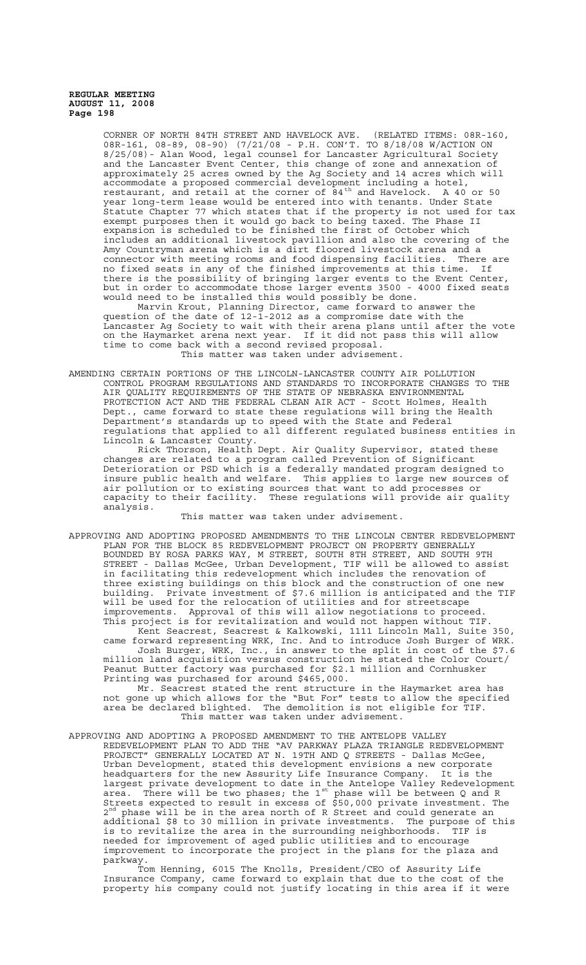> CORNER OF NORTH 84TH STREET AND HAVELOCK AVE. (RELATED ITEMS: 08R-160, 08R-161, 08-89, 08-90) (7/21/08 - P.H. CON'T. TO 8/18/08 W/ACTION ON 8/25/08)- Alan Wood, legal counsel for Lancaster Agricultural Society and the Lancaster Event Center, this change of zone and annexation of approximately 25 acres owned by the Ag Society and 14 acres which will accommodate a proposed commercial development including a hotel, restaurant, and retail at the corner of 84<sup>th</sup> and Havelock. A 40 or 50 year long-term lease would be entered into with tenants. Under State Statute Chapter 77 which states that if the property is not used for tax exempt purposes then it would go back to being taxed. The Phase II expansion is scheduled to be finished the first of October which includes an additional livestock pavillion and also the covering of the Amy Countryman arena which is a dirt floored livestock arena and a connector with meeting rooms and food dispensing facilities. There are no fixed seats in any of the finished improvements at this time. If there is the possibility of bringing larger events to the Event Center, but in order to accommodate those larger events 3500 - 4000 fixed seats would need to be installed this would possibly be done.

> Marvin Krout, Planning Director, came forward to answer the question of the date of 12-1-2012 as a compromise date with the Lancaster Ag Society to wait with their arena plans until after the vote on the Haymarket arena next year. If it did not pass this will allow time to come back with a second revised proposal.

This matter was taken under advisement.

AMENDING CERTAIN PORTIONS OF THE LINCOLN-LANCASTER COUNTY AIR POLLUTION CONTROL PROGRAM REGULATIONS AND STANDARDS TO INCORPORATE CHANGES TO THE AIR QUALITY REQUIREMENTS OF THE STATE OF NEBRASKA ENVIRONMENTAL PROTECTION ACT AND THE FEDERAL CLEAN AIR ACT - Scott Holmes, Health Dept., came forward to state these regulations will bring the Health Department's standards up to speed with the State and Federal regulations that applied to all different regulated business entities in Lincoln & Lancaster County.

Rick Thorson, Health Dept. Air Quality Supervisor, stated these changes are related to a program called Prevention of Significant Deterioration or PSD which is a federally mandated program designed to insure public health and welfare. This applies to large new sources of air pollution or to existing sources that want to add processes or capacity to their facility. These regulations will provide air quality capacity to their facility.<br>analysis.

This matter was taken under advisement.

APPROVING AND ADOPTING PROPOSED AMENDMENTS TO THE LINCOLN CENTER REDEVELOPMENT PLAN FOR THE BLOCK 85 REDEVELOPMENT PROJECT ON PROPERTY GENERALLY BOUNDED BY ROSA PARKS WAY, M STREET, SOUTH 8TH STREET, AND SOUTH 9TH STREET - Dallas McGee, Urban Development, TIF will be allowed to assist in facilitating this redevelopment which includes the renovation of three existing buildings on this block and the construction of one new building. Private investment of \$7.6 million is anticipated and the TIF will be used for the relocation of utilities and for streetscape improvements. Approval of this will allow negotiations to proceed. This project is for revitalization and would not happen without TIF.

Kent Seacrest, Seacrest & Kalkowski, 1111 Lincoln Mall, Suite 350, came forward representing WRK, Inc. And to introduce Josh Burger of WRK.

Josh Burger, WRK, Inc., in answer to the split in cost of the \$7.6 million land acquisition versus construction he stated the Color Court/ Peanut Butter factory was purchased for \$2.1 million and Cornhusker Printing was purchased for around \$465,000.

Mr. Seacrest stated the rent structure in the Haymarket area has not gone up which allows for the "But For" tests to allow the specified area be declared blighted. The demolition is not eligible for TIF. This matter was taken under advisement.

APPROVING AND ADOPTING A PROPOSED AMENDMENT TO THE ANTELOPE VALLEY REDEVELOPMENT PLAN TO ADD THE "AV PARKWAY PLAZA TRIANGLE REDEVELOPMENT PROJECT" GENERALLY LOCATED AT N. 19TH AND Q STREETS - Dallas McGee, Urban Development, stated this development envisions a new corporate headquarters for the new Assurity Life Insurance Company. It is the largest private development to date in the Antelope Valley Redevelopment area. There will be two phases; the 1st phase will be between Q and R Streets expected to result in excess of \$50,000 private investment. The  $2^{nd}$  phase will be in the area north of R Street and could generate an additional \$8 to 30 million in private investments. The purpose of this is to revitalize the area in the surrounding neighborhoods. TIF is needed for improvement of aged public utilities and to encourage improvement to incorporate the project in the plans for the plaza and parkway.

Tom Henning, 6015 The Knolls, President/CEO of Assurity Life Insurance Company, came forward to explain that due to the cost of the property his company could not justify locating in this area if it were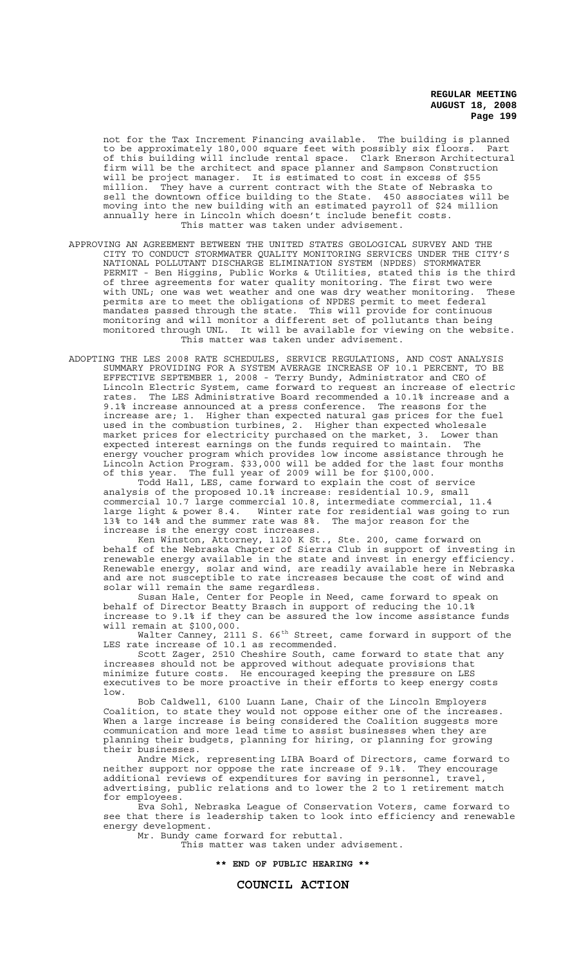not for the Tax Increment Financing available. The building is planned to be approximately 180,000 square feet with possibly six floors. Part of this building will include rental space. Clark Enerson Architectural firm will be the architect and space planner and Sampson Construction will be project manager. It is estimated to cost in excess of \$55 million. They have a current contract with the State of Nebraska to sell the downtown office building to the State. 450 associates will be moving into the new building with an estimated payroll of \$24 million annually here in Lincoln which doesn't include benefit costs. This matter was taken under advisement.

- APPROVING AN AGREEMENT BETWEEN THE UNITED STATES GEOLOGICAL SURVEY AND THE CITY TO CONDUCT STORMWATER QUALITY MONITORING SERVICES UNDER THE CITY'S NATIONAL POLLUTANT DISCHARGE ELIMINATION SYSTEM (NPDES) STORMWATER PERMIT - Ben Higgins, Public Works & Utilities, stated this is the third of three agreements for water quality monitoring. The first two were with UNL; one was wet weather and one was dry weather monitoring. These permits are to meet the obligations of NPDES permit to meet federal mandates passed through the state. This will provide for continuous monitoring and will monitor a different set of pollutants than being monitored through UNL. It will be available for viewing on the website. This matter was taken under advisement.
- ADOPTING THE LES 2008 RATE SCHEDULES, SERVICE REGULATIONS, AND COST ANALYSIS SUMMARY PROVIDING FOR A SYSTEM AVERAGE INCREASE OF 10.1 PERCENT, TO BE EFFECTIVE SEPTEMBER 1, 2008 - Terry Bundy, Administrator and CEO of Lincoln Electric System, came forward to request an increase of electric rates. The LES Administrative Board recommended a 10.1% increase and a 9.1% increase announced at a press conference. The reasons for the increase are; 1. Higher than expected natural gas prices for the fuel used in the combustion turbines, 2. Higher than expected wholesale market prices for electricity purchased on the market, 3. Lower than expected interest earnings on the funds required to maintain. The energy voucher program which provides low income assistance through he Lincoln Action Program. \$33,000 will be added for the last four months of this year. The full year of 2009 will be for \$100,000.

Todd Hall, LES, came forward to explain the cost of service analysis of the proposed 10.1% increase: residential 10.9, small commercial 10.7 large commercial 10.8, intermediate commercial, 11.4 large light & power 8.4. Winter rate for residential was going to run 13% to 14% and the summer rate was 8%. The major reason for the increase is the energy cost increases.

Ken Winston, Attorney, 1120 K St., Ste. 200, came forward on behalf of the Nebraska Chapter of Sierra Club in support of investing in renewable energy available in the state and invest in energy efficiency. Renewable energy, solar and wind, are readily available here in Nebraska and are not susceptible to rate increases because the cost of wind and solar will remain the same regardless.

Susan Hale, Center for People in Need, came forward to speak on behalf of Director Beatty Brasch in support of reducing the 10.1% increase to 9.1% if they can be assured the low income assistance funds will remain at \$100,000.

Walter Canney, 2111 S. 66<sup>th</sup> Street, came forward in support of the LES rate increase of 10.1 as recommended.

Scott Zager, 2510 Cheshire South, came forward to state that any increases should not be approved without adequate provisions that minimize future costs. He encouraged keeping the pressure on LES executives to be more proactive in their efforts to keep energy costs low.

Bob Caldwell, 6100 Luann Lane, Chair of the Lincoln Employers Coalition, to state they would not oppose either one of the increases. When a large increase is being considered the Coalition suggests more communication and more lead time to assist businesses when they are planning their budgets, planning for hiring, or planning for growing their businesses.

Andre Mick, representing LIBA Board of Directors, came forward to neither support nor oppose the rate increase of 9.1%. They encourage additional reviews of expenditures for saving in personnel, travel, advertising, public relations and to lower the 2 to 1 retirement match for employees.

Eva Sohl, Nebraska League of Conservation Voters, came forward to see that there is leadership taken to look into efficiency and renewable energy development.

Mr. Bundy came forward for rebuttal.

This matter was taken under advisement.

**\*\* END OF PUBLIC HEARING \*\***

# **COUNCIL ACTION**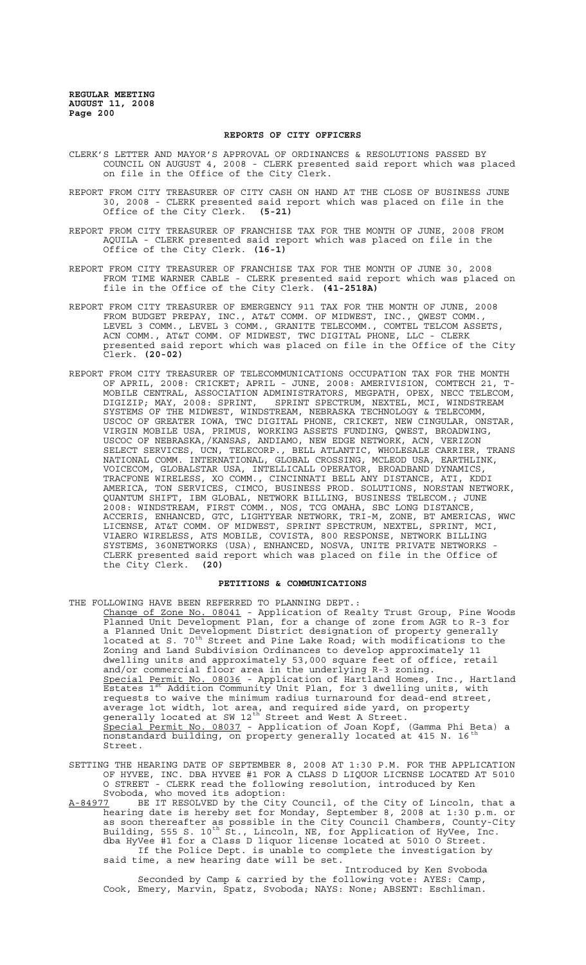# **REPORTS OF CITY OFFICERS**

- CLERK'S LETTER AND MAYOR'S APPROVAL OF ORDINANCES & RESOLUTIONS PASSED BY COUNCIL ON AUGUST 4, 2008 - CLERK presented said report which was placed on file in the Office of the City Clerk.
- REPORT FROM CITY TREASURER OF CITY CASH ON HAND AT THE CLOSE OF BUSINESS JUNE 30, 2008 - CLERK presented said report which was placed on file in the Office of the City Clerk. **(5-21)**
- REPORT FROM CITY TREASURER OF FRANCHISE TAX FOR THE MONTH OF JUNE, 2008 FROM AQUILA - CLERK presented said report which was placed on file in the Office of the City Clerk. **(16-1)**
- REPORT FROM CITY TREASURER OF FRANCHISE TAX FOR THE MONTH OF JUNE 30, 2008 FROM TIME WARNER CABLE - CLERK presented said report which was placed on file in the Office of the City Clerk. **(41-2518A)**
- REPORT FROM CITY TREASURER OF EMERGENCY 911 TAX FOR THE MONTH OF JUNE, 2008 FROM BUDGET PREPAY, INC., AT&T COMM. OF MIDWEST, INC., QWEST COMM., LEVEL 3 COMM., LEVEL 3 COMM., GRANITE TELECOMM., COMTEL TELCOM ASSETS, ACN COMM., AT&T COMM. OF MIDWEST, TWC DIGITAL PHONE, LLC - CLERK presented said report which was placed on file in the Office of the City Clerk. **(20-02)**
- REPORT FROM CITY TREASURER OF TELECOMMUNICATIONS OCCUPATION TAX FOR THE MONTH OF APRIL, 2008: CRICKET; APRIL - JUNE, 2008: AMERIVISION, COMTECH 21, T-MOBILE CENTRAL, ASSOCIATION ADMINISTRATORS, MEGPATH, OPEX, NECC TELECOM, DIGIZIP; MAY, 2008: SPRINT, SPRINT SPECTRUM, NEXTEL, MCI, WINDSTREAM SYSTEMS OF THE MIDWEST, WINDSTREAM, NEBRASKA TECHNOLOGY & TELECOMM, USCOC OF GREATER IOWA, TWC DIGITAL PHONE, CRICKET, NEW CINGULAR, ONSTAR, VIRGIN MOBILE USA, PRIMUS, WORKING ASSETS FUNDING, QWEST, BROADWING, USCOC OF NEBRASKA,/KANSAS, ANDIAMO, NEW EDGE NETWORK, ACN, VERIZON SELECT SERVICES, UCN, TELECORP., BELL ATLANTIC, WHOLESALE CARRIER, TRANS NATIONAL COMM. INTERNATIONAL, GLOBAL CROSSING, MCLEOD USA, EARTHLINK, VOICECOM, GLOBALSTAR USA, INTELLICALL OPERATOR, BROADBAND DYNAMICS, TRACFONE WIRELESS, XO COMM., CINCINNATI BELL ANY DISTANCE, ATI, KDDI AMERICA, TON SERVICES, CIMCO, BUSINESS PROD. SOLUTIONS, NORSTAN NETWORK, QUANTUM SHIFT, IBM GLOBAL, NETWORK BILLING, BUSINESS TELECOM.; JUNE 2008: WINDSTREAM, FIRST COMM., NOS, TCG OMAHA, SBC LONG DISTANCE, ACCERIS, ENHANCED, GTC, LIGHTYEAR NETWORK, TRI-M, ZONE, BT AMERICAS, WWC LICENSE, AT&T COMM. OF MIDWEST, SPRINT SPECTRUM, NEXTEL, SPRINT, MCI, VIAERO WIRELESS, ATS MOBILE, COVISTA, 800 RESPONSE, NETWORK BILLING SYSTEMS, 360NETWORKS (USA), ENHANCED, NOSVA, UNITE PRIVATE NETWORKS - CLERK presented said report which was placed on file in the Office of the City Clerk. **(20)**

#### **PETITIONS & COMMUNICATIONS**

THE FOLLOWING HAVE BEEN REFERRED TO PLANNING DEPT.:

- Change of Zone No. 08041 Application of Realty Trust Group, Pine Woods Planned Unit Development Plan, for a change of zone from AGR to R-3 for a Planned Unit Development District designation of property generally located at S. 70th Street and Pine Lake Road; with modifications to the Zoning and Land Subdivision Ordinances to develop approximately 11 dwelling units and approximately 53,000 square feet of office, retail and/or commercial floor area in the underlying R-3 zoning. Special Permit No. 08036 - Application of Hartland Homes, Inc., Hartland Estates 1<sup>st</sup> Addition Community Unit Plan, for 3 dwelling units, with Example 19 and the minimum requests to waive the minimum radius turnaround for dead-end street, average lot width, lot area, and required side yard, on property generally located at SW 12<sup>th</sup> Street and West A Street. Special Permit No. 08037 - Application of Joan Kopf, (Gamma Phi Beta) a nonstandard building, on property generally located at 415 N. 16<sup>th</sup> Street.
- SETTING THE HEARING DATE OF SEPTEMBER 8, 2008 AT 1:30 P.M. FOR THE APPLICATION OF HYVEE, INC. DBA HYVEE #1 FOR A CLASS D LIQUOR LICENSE LOCATED AT 5010 O STREET - CLERK read the following resolution, introduced by Ken Svoboda, who moved its adoption:<br>The Svoboda, who moved its adoption:<br>The City of Lincoln, that a
- A-84977 BE IT RESOLVED by the City Council, of the City of Lincoln, that a hearing date is hereby set for Monday, September 8, 2008 at 1:30 p.m. or as soon thereafter as possible in the City Council Chambers, County-City Building, 555 S. 10<sup>th</sup> St., Lincoln, NE, for Application of HyVee, Inc. dba HyVee #1 for a Class D liquor license located at 5010 O Street. If the Police Dept. is unable to complete the investigation by said time, a new hearing date will be set.

Introduced by Ken Svoboda Seconded by Camp & carried by the following vote: AYES: Camp, Cook, Emery, Marvin, Spatz, Svoboda; NAYS: None; ABSENT: Eschliman.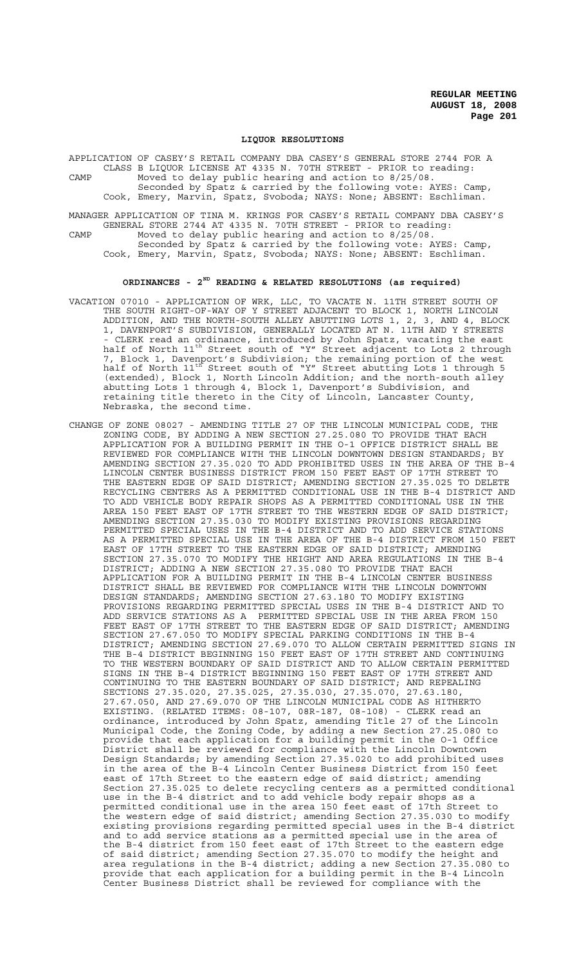#### **LIQUOR RESOLUTIONS**

APPLICATION OF CASEY'S RETAIL COMPANY DBA CASEY'S GENERAL STORE 2744 FOR A CLASS B LIQUOR LICENSE AT 4335 N. 70TH STREET - PRIOR to reading: CAMP Moved to delay public hearing and action to 8/25/08. Seconded by Spatz & carried by the following vote: AYES: Camp,

Cook, Emery, Marvin, Spatz, Svoboda; NAYS: None; ABSENT: Eschliman.

MANAGER APPLICATION OF TINA M. KRINGS FOR CASEY'S RETAIL COMPANY DBA CASEY'S GENERAL STORE 2744 AT 4335 N. 70TH STREET - PRIOR to reading: CAMP Moved to delay public hearing and action to 8/25/08.

Seconded by Spatz & carried by the following vote: AYES: Camp, Cook, Emery, Marvin, Spatz, Svoboda; NAYS: None; ABSENT: Eschliman.

# **ORDINANCES - 2ND READING & RELATED RESOLUTIONS (as required)**

- VACATION 07010 APPLICATION OF WRK, LLC, TO VACATE N. 11TH STREET SOUTH OF THE SOUTH RIGHT-OF-WAY OF Y STREET ADJACENT TO BLOCK 1, NORTH LINCOLN ADDITION, AND THE NORTH-SOUTH ALLEY ABUTTING LOTS 1, 2, 3, AND 4, BLOCK 1, DAVENPORT'S SUBDIVISION, GENERALLY LOCATED AT N. 11TH AND Y STREETS - CLERK read an ordinance, introduced by John Spatz, vacating the east half of North 11<sup>th</sup> Street south of "Y" Street adjacent to Lots 2 through 7, Block 1, Davenport's Subdivision; the remaining portion of the west half of North 11th Street south of "Y" Street abutting Lots 1 through 5 (extended), Block 1, North Lincoln Addition; and the north-south alley abutting Lots 1 through 4, Block 1, Davenport's Subdivision, and retaining title thereto in the City of Lincoln, Lancaster County, Nebraska, the second time.
- CHANGE OF ZONE 08027 AMENDING TITLE 27 OF THE LINCOLN MUNICIPAL CODE, THE ZONING CODE, BY ADDING A NEW SECTION 27.25.080 TO PROVIDE THAT EACH APPLICATION FOR A BUILDING PERMIT IN THE O-1 OFFICE DISTRICT SHALL BE REVIEWED FOR COMPLIANCE WITH THE LINCOLN DOWNTOWN DESIGN STANDARDS; BY AMENDING SECTION 27.35.020 TO ADD PROHIBITED USES IN THE AREA OF THE B-4 LINCOLN CENTER BUSINESS DISTRICT FROM 150 FEET EAST OF 17TH STREET TO THE EASTERN EDGE OF SAID DISTRICT; AMENDING SECTION 27.35.025 TO DELETE RECYCLING CENTERS AS A PERMITTED CONDITIONAL USE IN THE B-4 DISTRICT AND TO ADD VEHICLE BODY REPAIR SHOPS AS A PERMITTED CONDITIONAL USE IN THE AREA 150 FEET EAST OF 17TH STREET TO THE WESTERN EDGE OF SAID DISTRICT; AMENDING SECTION 27.35.030 TO MODIFY EXISTING PROVISIONS REGARDING PERMITTED SPECIAL USES IN THE B-4 DISTRICT AND TO ADD SERVICE STATIONS AS A PERMITTED SPECIAL USE IN THE AREA OF THE B-4 DISTRICT FROM 150 FEET EAST OF 17TH STREET TO THE EASTERN EDGE OF SAID DISTRICT; AMENDING SECTION 27.35.070 TO MODIFY THE HEIGHT AND AREA REGULATIONS IN THE B-4 DISTRICT; ADDING A NEW SECTION 27.35.080 TO PROVIDE THAT EACH APPLICATION FOR A BUILDING PERMIT IN THE B-4 LINCOLN CENTER BUSINESS DISTRICT SHALL BE REVIEWED FOR COMPLIANCE WITH THE LINCOLN DOWNTOWN DESIGN STANDARDS; AMENDING SECTION 27.63.180 TO MODIFY EXISTING PROVISIONS REGARDING PERMITTED SPECIAL USES IN THE B-4 DISTRICT AND TO ADD SERVICE STATIONS AS A PERMITTED SPECIAL USE IN THE AREA FROM 150 FEET EAST OF 17TH STREET TO THE EASTERN EDGE OF SAID DISTRICT; AMENDING SECTION 27.67.050 TO MODIFY SPECIAL PARKING CONDITIONS IN THE B-4 DISTRICT; AMENDING SECTION 27.69.070 TO ALLOW CERTAIN PERMITTED SIGNS IN THE B-4 DISTRICT BEGINNING 150 FEET EAST OF 17TH STREET AND CONTINUING TO THE WESTERN BOUNDARY OF SAID DISTRICT AND TO ALLOW CERTAIN PERMITTED SIGNS IN THE B-4 DISTRICT BEGINNING 150 FEET EAST OF 17TH STREET AND CONTINUING TO THE EASTERN BOUNDARY OF SAID DISTRICT; AND REPEALING SECTIONS 27.35.020, 27.35.025, 27.35.030, 27.35.070, 27.63.180, 27.67.050, AND 27.69.070 OF THE LINCOLN MUNICIPAL CODE AS HITHERTO EXISTING. (RELATED ITEMS: 08-107, 08R-187, 08-108) - CLERK read an ordinance, introduced by John Spatz, amending Title 27 of the Lincoln Municipal Code, the Zoning Code, by adding a new Section 27.25.080 to provide that each application for a building permit in the O-1 Office District shall be reviewed for compliance with the Lincoln Downtown Design Standards; by amending Section 27.35.020 to add prohibited uses in the area of the B-4 Lincoln Center Business District from 150 feet east of 17th Street to the eastern edge of said district; amending Section 27.35.025 to delete recycling centers as a permitted conditional use in the B-4 district and to add vehicle body repair shops as a permitted conditional use in the area 150 feet east of 17th Street to the western edge of said district; amending Section 27.35.030 to modify existing provisions regarding permitted special uses in the B-4 district and to add service stations as a permitted special use in the area of the B-4 district from 150 feet east of 17th Street to the eastern edge of said district; amending Section 27.35.070 to modify the height and area regulations in the B-4 district; adding a new Section 27.35.080 to provide that each application for a building permit in the B-4 Lincoln Center Business District shall be reviewed for compliance with the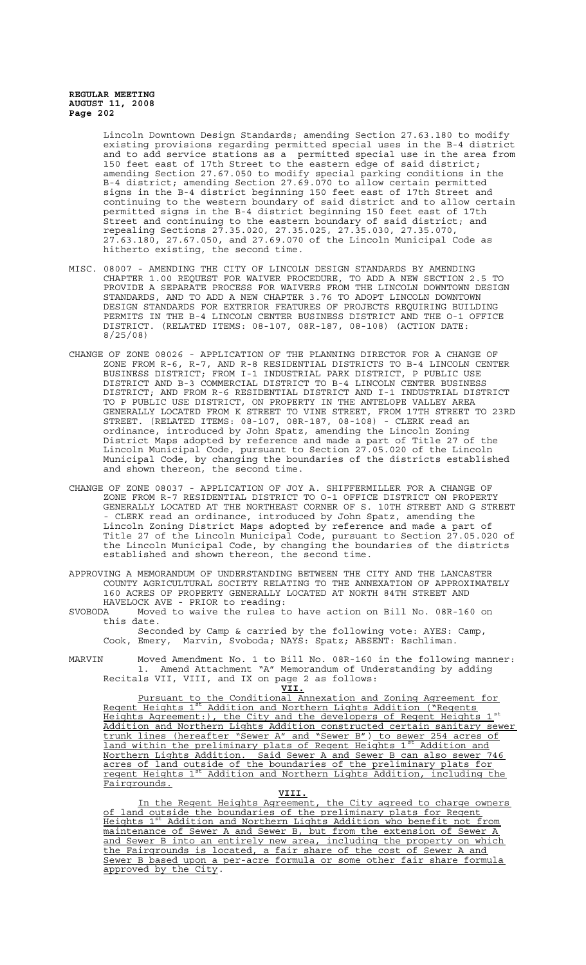Lincoln Downtown Design Standards; amending Section 27.63.180 to modify existing provisions regarding permitted special uses in the B-4 district and to add service stations as a permitted special use in the area from 150 feet east of 17th Street to the eastern edge of said district; amending Section 27.67.050 to modify special parking conditions in the B-4 district; amending Section 27.69.070 to allow certain permitted signs in the B-4 district beginning 150 feet east of 17th Street and continuing to the western boundary of said district and to allow certain permitted signs in the B-4 district beginning 150 feet east of 17th Street and continuing to the eastern boundary of said district; and repealing Sections 27.35.020, 27.35.025, 27.35.030, 27.35.070, 27.63.180, 27.67.050, and 27.69.070 of the Lincoln Municipal Code as hitherto existing, the second time.

- MISC. 08007 AMENDING THE CITY OF LINCOLN DESIGN STANDARDS BY AMENDING CHAPTER 1.00 REQUEST FOR WAIVER PROCEDURE, TO ADD A NEW SECTION 2.5 TO PROVIDE A SEPARATE PROCESS FOR WAIVERS FROM THE LINCOLN DOWNTOWN DESIGN STANDARDS, AND TO ADD A NEW CHAPTER 3.76 TO ADOPT LINCOLN DOWNTOWN DESIGN STANDARDS FOR EXTERIOR FEATURES OF PROJECTS REQUIRING BUILDING PERMITS IN THE B-4 LINCOLN CENTER BUSINESS DISTRICT AND THE O-1 OFFICE DISTRICT. (RELATED ITEMS: 08-107, 08R-187, 08-108) (ACTION DATE: 8/25/08)
- CHANGE OF ZONE 08026 APPLICATION OF THE PLANNING DIRECTOR FOR A CHANGE OF ZONE FROM R-6, R-7, AND R-8 RESIDENTIAL DISTRICTS TO B-4 LINCOLN CENTER BUSINESS DISTRICT; FROM I-1 INDUSTRIAL PARK DISTRICT, P PUBLIC USE DISTRICT AND B-3 COMMERCIAL DISTRICT TO B-4 LINCOLN CENTER BUSINESS DISTRICT; AND FROM R-6 RESIDENTIAL DISTRICT AND I-1 INDUSTRIAL DISTRICT TO P PUBLIC USE DISTRICT, ON PROPERTY IN THE ANTELOPE VALLEY AREA GENERALLY LOCATED FROM K STREET TO VINE STREET, FROM 17TH STREET TO 23RD STREET. (RELATED ITEMS: 08-107, 08R-187, 08-108) - CLERK read an ordinance, introduced by John Spatz, amending the Lincoln Zoning District Maps adopted by reference and made a part of Title 27 of the Lincoln Municipal Code, pursuant to Section 27.05.020 of the Lincoln Municipal Code, by changing the boundaries of the districts established and shown thereon, the second time.
- CHANGE OF ZONE 08037 APPLICATION OF JOY A. SHIFFERMILLER FOR A CHANGE OF ZONE FROM R-7 RESIDENTIAL DISTRICT TO O-1 OFFICE DISTRICT ON PROPERTY GENERALLY LOCATED AT THE NORTHEAST CORNER OF S. 10TH STREET AND G STREET - CLERK read an ordinance, introduced by John Spatz, amending the Lincoln Zoning District Maps adopted by reference and made a part of Title 27 of the Lincoln Municipal Code, pursuant to Section 27.05.020 of the Lincoln Municipal Code, by changing the boundaries of the districts established and shown thereon, the second time.

APPROVING A MEMORANDUM OF UNDERSTANDING BETWEEN THE CITY AND THE LANCASTER COUNTY AGRICULTURAL SOCIETY RELATING TO THE ANNEXATION OF APPROXIMATELY 160 ACRES OF PROPERTY GENERALLY LOCATED AT NORTH 84TH STREET AND HAVELOCK AVE - PRIOR to reading:

SVOBODA Moved to waive the rules to have action on Bill No. 08R-160 on this date.

Seconded by Camp & carried by the following vote: AYES: Camp, Cook, Emery, Marvin, Svoboda; NAYS: Spatz; ABSENT: Eschliman.

MARVIN Moved Amendment No. 1 to Bill No. 08R-160 in the following manner: 1. Amend Attachment "A" Memorandum of Understanding by adding Recitals VII, VIII, and IX on page 2 as follows:

**VII.**

Pursuant to the Conditional Annexation and Zoning Agreement for Regent Heights 1st Addition and Northern Lights Addition ("Regents Heights Agreement:), the City and the developers of Regent Heights Addition and Northern Lights Addition constructed certain sanitary sewer trunk lines (hereafter "Sewer A" and "Sewer B") to sewer 254 acres of<br>land within the preliminary plats of Regent Heights 1<sup>st</sup> Addition and land within the preliminary plats of Regent Heights 1st Northern Lights Addition. Said Sewer A and Sewer B can also sewer 746 acres of land outside of the boundaries of the preliminary plats for regent Heights 1st Addition and Northern Lights Addition, including the Fairgrounds.

#### **VIII.**

In the Regent Heights Agreement, the City agreed to charge owners of land outside the boundaries of the preliminary plats for Regent Heights 1<sup>st</sup> Addition and Northern Lights Addition who benefit not from maintenance of Sewer A and Sewer B, but from the extension of Sewer A and Sewer B into an entirely new area, including the property on which the Fairgrounds is located, a fair share of the cost of Sewer A and Sewer B based upon a per-acre formula or some other fair share formula approved by the City.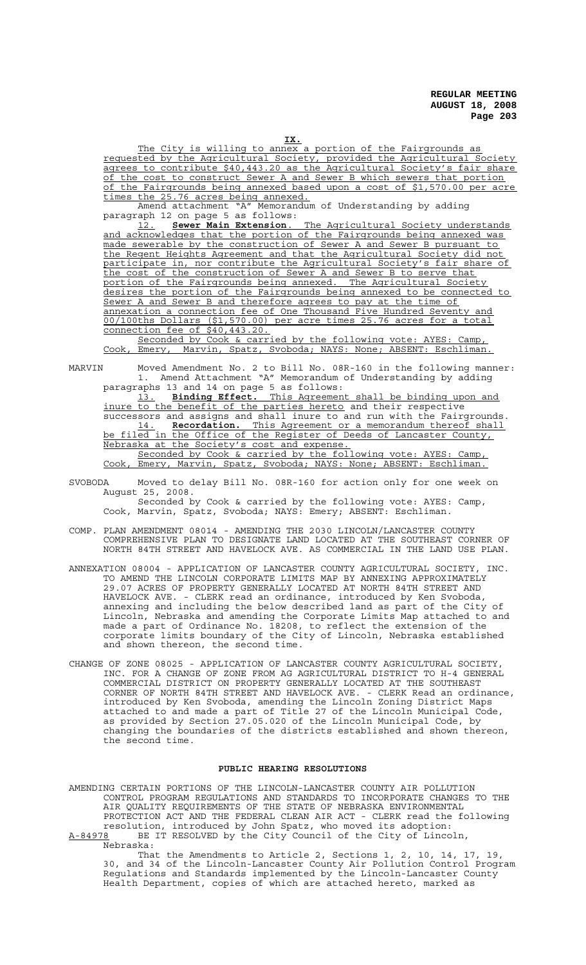The City is willing to annex a portion of the Fairgrounds as requested by the Agricultural Society, provided the Agricultural Society agrees to contribute \$40,443.20 as the Agricultural Society's fair share of the cost to construct Sewer A and Sewer B which sewers that portion of the Fairgrounds being annexed based upon a cost of \$1,570.00 per acre times the 25.76 acres being annexed.

Memorandum of Understanding by adding Amend attachment "A" Memorano<br>paragraph 12 on page 5 as follows:<br>12. Sewer Main Extension.

12. **Sewer Main Extension**. The Agricultural Society understands and acknowledges that the portion of the Fairgrounds being annexed was made sewerable by the construction of Sewer A and Sewer B pursuant to the Regent Heights Agreement and that the Agricultural Society did not participate in, nor contribute the Agricultural Society's fair share of the cost of the construction of Sewer A and Sewer B to serve that portion of the Fairgrounds being annexed. The Agricultural Society desires the portion of the Fairgrounds being annexed to be connected to Sewer A and Sewer B and therefore agrees to pay at the time of annexation a connection fee of One Thousand Five Hundred Seventy and 00/100ths Dollars (\$1,570.00) per acre times 25.76 acres for a total connection fee of \$40,443.20.

Seconded by Cook & carried by the following vote: AYES: Camp, Cook, Emery, Marvin, Spatz, Svoboda; NAYS: None; ABSENT: Eschliman.

MARVIN Moved Amendment No. 2 to Bill No. 08R-160 in the following manner: 1. Amend Attachment "A" Memorandum of Understanding by adding paragraphs 13 and 14 on page 5 as follows:

13. **Binding Effect.** This Agreement shall be binding upon and inure to the benefit of the parties hereto and their respective successors and assigns and shall inure to and run with the Fairgrounds. 14. **Recordation.** This Agreement or a memorandum thereof shall be filed in the Office of the Register of Deeds of Lancaster County, Nebraska at the Society's cost and expense.

Seconded by Cook & carried by the following vote: AYES: Camp, Cook, Emery, Marvin, Spatz, Svoboda; NAYS: None; ABSENT: Eschliman.

- SVOBODA Moved to delay Bill No. 08R-160 for action only for one week on August 25, 2008. Seconded by Cook & carried by the following vote: AYES: Camp, Cook, Marvin, Spatz, Svoboda; NAYS: Emery; ABSENT: Eschliman.
- COMP. PLAN AMENDMENT 08014 AMENDING THE 2030 LINCOLN/LANCASTER COUNTY COMPREHENSIVE PLAN TO DESIGNATE LAND LOCATED AT THE SOUTHEAST CORNER OF NORTH 84TH STREET AND HAVELOCK AVE. AS COMMERCIAL IN THE LAND USE PLAN.
- ANNEXATION 08004 APPLICATION OF LANCASTER COUNTY AGRICULTURAL SOCIETY, INC. TO AMEND THE LINCOLN CORPORATE LIMITS MAP BY ANNEXING APPROXIMATELY 29.07 ACRES OF PROPERTY GENERALLY LOCATED AT NORTH 84TH STREET AND HAVELOCK AVE. - CLERK read an ordinance, introduced by Ken Svoboda, annexing and including the below described land as part of the City of Lincoln, Nebraska and amending the Corporate Limits Map attached to and made a part of Ordinance No. 18208, to reflect the extension of the corporate limits boundary of the City of Lincoln, Nebraska established and shown thereon, the second time.
- CHANGE OF ZONE 08025 APPLICATION OF LANCASTER COUNTY AGRICULTURAL SOCIETY, INC. FOR A CHANGE OF ZONE FROM AG AGRICULTURAL DISTRICT TO H-4 GENERAL COMMERCIAL DISTRICT ON PROPERTY GENERALLY LOCATED AT THE SOUTHEAST CORNER OF NORTH 84TH STREET AND HAVELOCK AVE. - CLERK Read an ordinance, introduced by Ken Svoboda, amending the Lincoln Zoning District Maps attached to and made a part of Title 27 of the Lincoln Municipal Code, as provided by Section 27.05.020 of the Lincoln Municipal Code, by changing the boundaries of the districts established and shown thereon, the second time.

#### **PUBLIC HEARING RESOLUTIONS**

AMENDING CERTAIN PORTIONS OF THE LINCOLN-LANCASTER COUNTY AIR POLLUTION CONTROL PROGRAM REGULATIONS AND STANDARDS TO INCORPORATE CHANGES TO THE AIR QUALITY REQUIREMENTS OF THE STATE OF NEBRASKA ENVIRONMENTAL PROTECTION ACT AND THE FEDERAL CLEAN AIR ACT - CLERK read the following resolution, introduced by John Spatz, who moved its adoption: A-84978 BE IT RESOLVED by the City Council of the City of Lincoln, Nebraska:

That the Amendments to Article 2, Sections 1, 2, 10, 14, 17, 19, 30, and 34 of the Lincoln-Lancaster County Air Pollution Control Program Regulations and Standards implemented by the Lincoln-Lancaster County Health Department, copies of which are attached hereto, marked as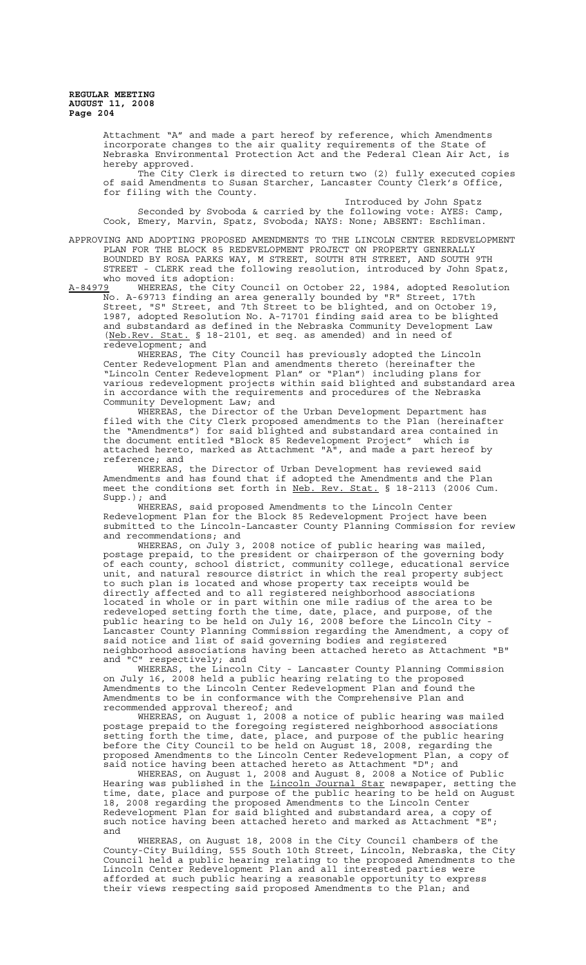Attachment "A" and made a part hereof by reference, which Amendments incorporate changes to the air quality requirements of the State of Nebraska Environmental Protection Act and the Federal Clean Air Act, is hereby approved.

The City Clerk is directed to return two (2) fully executed copies of said Amendments to Susan Starcher, Lancaster County Clerk's Office, for filing with the County.

Introduced by John Spatz Seconded by Svoboda & carried by the following vote: AYES: Camp, Cook, Emery, Marvin, Spatz, Svoboda; NAYS: None; ABSENT: Eschliman.

APPROVING AND ADOPTING PROPOSED AMENDMENTS TO THE LINCOLN CENTER REDEVELOPMENT PLAN FOR THE BLOCK 85 REDEVELOPMENT PROJECT ON PROPERTY GENERALLY BOUNDED BY ROSA PARKS WAY, M STREET, SOUTH 8TH STREET, AND SOUTH 9TH STREET - CLERK read the following resolution, introduced by John Spatz, who moved its adoption:

A-84979 WHEREAS, the City Council on October 22, 1984, adopted Resolution No. A-69713 finding an area generally bounded by "R" Street, 17th Street, "S" Street, and 7th Street to be blighted, and on October 19, 1987, adopted Resolution No. A-71701 finding said area to be blighted and substandard as defined in the Nebraska Community Development Law (Neb.Rev. Stat. § 18-2101, et seq. as amended) and in need of redevelopment; and

WHEREAS, The City Council has previously adopted the Lincoln Center Redevelopment Plan and amendments thereto (hereinafter the "Lincoln Center Redevelopment Plan" or "Plan") including plans for various redevelopment projects within said blighted and substandard area in accordance with the requirements and procedures of the Nebraska Community Development Law; and

WHEREAS, the Director of the Urban Development Department has filed with the City Clerk proposed amendments to the Plan (hereinafter the "Amendments") for said blighted and substandard area contained in the document entitled "Block 85 Redevelopment Project" which is attached hereto, marked as Attachment "A", and made a part hereof by reference; and

WHEREAS, the Director of Urban Development has reviewed said Amendments and has found that if adopted the Amendments and the Plan meet the conditions set forth in Neb. Rev. Stat. § 18-2113 (2006 Cum. Supp.); and

WHEREAS, said proposed Amendments to the Lincoln Center Redevelopment Plan for the Block 85 Redevelopment Project have been submitted to the Lincoln-Lancaster County Planning Commission for review and recommendations; and

WHEREAS, on July 3, 2008 notice of public hearing was mailed, postage prepaid, to the president or chairperson of the governing body of each county, school district, community college, educational service unit, and natural resource district in which the real property subject to such plan is located and whose property tax receipts would be directly affected and to all registered neighborhood associations located in whole or in part within one mile radius of the area to be redeveloped setting forth the time, date, place, and purpose, of the public hearing to be held on July 16, 2008 before the Lincoln City - Lancaster County Planning Commission regarding the Amendment, a copy of said notice and list of said governing bodies and registered neighborhood associations having been attached hereto as Attachment "B"

and "C" respectively; and<br>WHEREAS, the Lincoli WHEREAS, the Lincoln City - Lancaster County Planning Commission on July 16, 2008 held a public hearing relating to the proposed Amendments to the Lincoln Center Redevelopment Plan and found the Amendments to be in conformance with the Comprehensive Plan and recommended approval thereof; and

WHEREAS, on August 1, 2008 a notice of public hearing was mailed postage prepaid to the foregoing registered neighborhood associations setting forth the time, date, place, and purpose of the public hearing before the City Council to be held on August 18, 2008, regarding the proposed Amendments to the Lincoln Center Redevelopment Plan, a copy of said notice having been attached hereto as Attachment "D"; and

WHEREAS, on August 1, 2008 and August 8, 2008 a Notice of Public Hearing was published in the <u>Lincoln Journal Star</u> newspaper, setting the time, date, place and purpose of the public hearing to be held on August 18, 2008 regarding the proposed Amendments to the Lincoln Center Redevelopment Plan for said blighted and substandard area, a copy of such notice having been attached hereto and marked as Attachment "E"; and

WHEREAS, on August 18, 2008 in the City Council chambers of the County-City Building, 555 South 10th Street, Lincoln, Nebraska, the City Council held a public hearing relating to the proposed Amendments to the Lincoln Center Redevelopment Plan and all interested parties were afforded at such public hearing a reasonable opportunity to express their views respecting said proposed Amendments to the Plan; and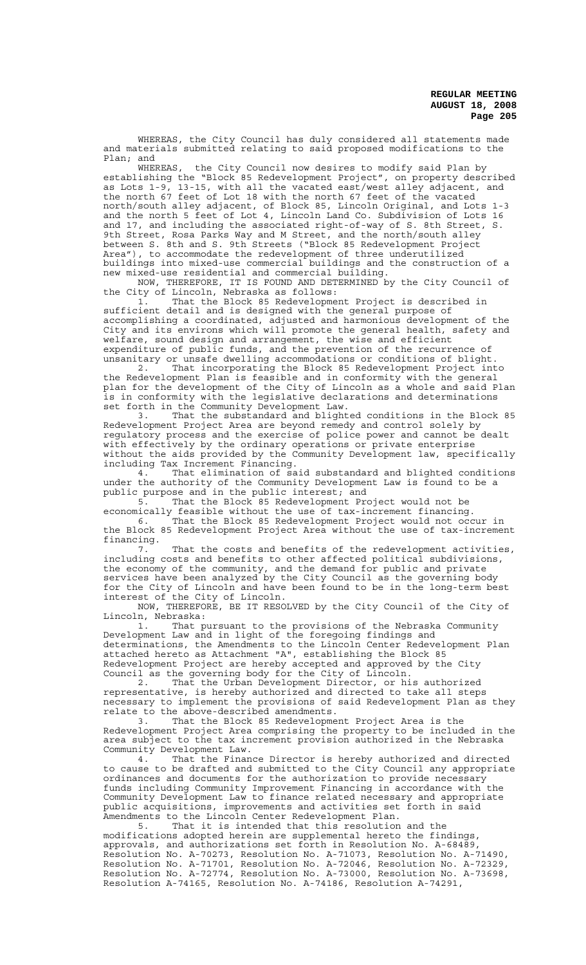WHEREAS, the City Council has duly considered all statements made and materials submitted relating to said proposed modifications to the Plan; and

WHEREAS, the City Council now desires to modify said Plan by establishing the "Block 85 Redevelopment Project", on property described as Lots 1-9, 13-15, with all the vacated east/west alley adjacent, and the north 67 feet of Lot 18 with the north 67 feet of the vacated north/south alley adjacent, of Block 85, Lincoln Original, and Lots 1-3 and the north 5 feet of Lot 4, Lincoln Land Co. Subdivision of Lots 16 and 17, and including the associated right-of-way of S. 8th Street, S. 9th Street, Rosa Parks Way and M Street, and the north/south alley between S. 8th and S. 9th Streets ("Block 85 Redevelopment Project Area"), to accommodate the redevelopment of three underutilized buildings into mixed-use commercial buildings and the construction of a new mixed-use residential and commercial building.

NOW, THEREFORE, IT IS FOUND AND DETERMINED by the City Council of the City of Lincoln, Nebraska as follows:

1. That the Block 85 Redevelopment Project is described in sufficient detail and is designed with the general purpose of accomplishing a coordinated, adjusted and harmonious development of the City and its environs which will promote the general health, safety and welfare, sound design and arrangement, the wise and efficient expenditure of public funds, and the prevention of the recurrence of unsanitary or unsafe dwelling accommodations or conditions of blight.

2. That incorporating the Block 85 Redevelopment Project into the Redevelopment Plan is feasible and in conformity with the general plan for the development of the City of Lincoln as a whole and said Plan is in conformity with the legislative declarations and determinations set forth in the Community Development Law.

3. That the substandard and blighted conditions in the Block 85 Redevelopment Project Area are beyond remedy and control solely by regulatory process and the exercise of police power and cannot be dealt with effectively by the ordinary operations or private enterprise without the aids provided by the Community Development law, specifically including Tax Increment Financing.

4. That elimination of said substandard and blighted conditions under the authority of the Community Development Law is found to be a public purpose and in the public interest; and

5. That the Block 85 Redevelopment Project would not be economically feasible without the use of tax-increment financing.

6. That the Block 85 Redevelopment Project would not occur in the Block 85 Redevelopment Project Area without the use of tax-increment

financing. That the costs and benefits of the redevelopment activities, including costs and benefits to other affected political subdivisions, the economy of the community, and the demand for public and private services have been analyzed by the City Council as the governing body for the City of Lincoln and have been found to be in the long-term best interest of the City of Lincoln.

NOW, THEREFORE, BE IT RESOLVED by the City Council of the City of Lincoln, Nebraska:

1. That pursuant to the provisions of the Nebraska Community Development Law and in light of the foregoing findings and determinations, the Amendments to the Lincoln Center Redevelopment Plan attached hereto as Attachment "A", establishing the Block 85 Redevelopment Project are hereby accepted and approved by the City Council as the governing body for the City of Lincoln.

2. That the Urban Development Director, or his authorized representative, is hereby authorized and directed to take all steps necessary to implement the provisions of said Redevelopment Plan as they relate to the above-described amendments.

3. That the Block 85 Redevelopment Project Area is the Redevelopment Project Area comprising the property to be included in the area subject to the tax increment provision authorized in the Nebraska Community Development Law.<br>4. That the Finan

That the Finance Director is hereby authorized and directed to cause to be drafted and submitted to the City Council any appropriate ordinances and documents for the authorization to provide necessary funds including Community Improvement Financing in accordance with the Community Development Law to finance related necessary and appropriate public acquisitions, improvements and activities set forth in said Amendments to the Lincoln Center Redevelopment Plan.

That it is intended that this resolution and the modifications adopted herein are supplemental hereto the findings, approvals, and authorizations set forth in Resolution No. A-68489, Resolution No. A-70273, Resolution No. A-71073, Resolution No. A-71490, Resolution No. A-71701, Resolution No. A-72046, Resolution No. A-72329, Resolution No. A-72774, Resolution No. A-73000, Resolution No. A-73698, Resolution A-74165, Resolution No. A-74186, Resolution A-74291,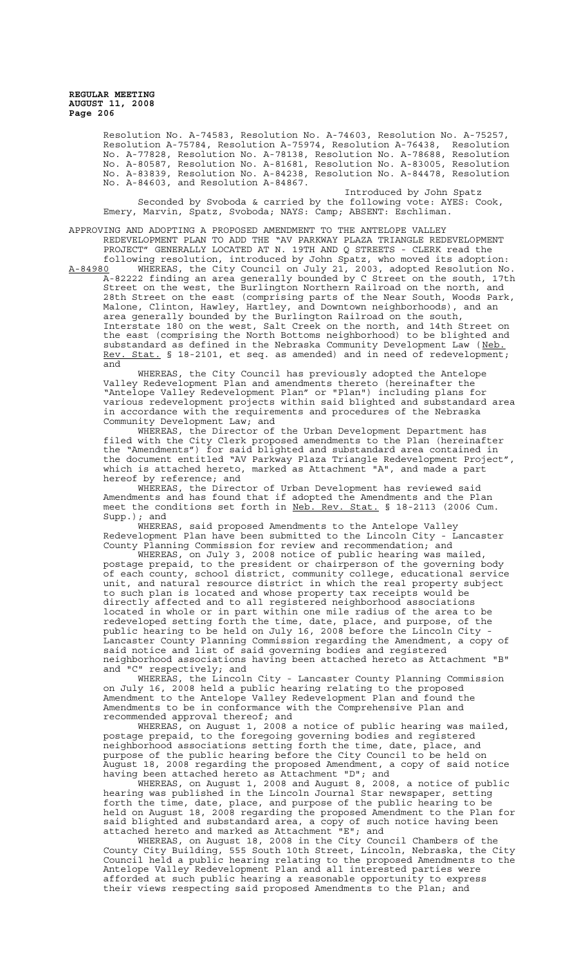> Resolution No. A-74583, Resolution No. A-74603, Resolution No. A-75257, Resolution A-75784, Resolution A-75974, Resolution A-76438, Resolution No. A-77828, Resolution No. A-78138, Resolution No. A-78688, Resolution No. A-80587, Resolution No. A-81681, Resolution No. A-83005, Resolution No. A-83839, Resolution No. A-84238, Resolution No. A-84478, Resolution No. A-84603, and Resolution A-84867.

Introduced by John Spatz Seconded by Svoboda & carried by the following vote: AYES: Cook, Emery, Marvin, Spatz, Svoboda; NAYS: Camp; ABSENT: Eschliman.

APPROVING AND ADOPTING A PROPOSED AMENDMENT TO THE ANTELOPE VALLEY REDEVELOPMENT PLAN TO ADD THE "AV PARKWAY PLAZA TRIANGLE REDEVELOPMENT PROJECT" GENERALLY LOCATED AT N. 19TH AND Q STREETS - CLERK read the following resolution, introduced by John Spatz, who moved its adoption:

A-84980 WHEREAS, the City Council on July 21, 2003, adopted Resolution No. A-82222 finding an area generally bounded by C Street on the south, 17th Street on the west, the Burlington Northern Railroad on the north, and 28th Street on the east (comprising parts of the Near South, Woods Park, Malone, Clinton, Hawley, Hartley, and Downtown neighborhoods), and an area generally bounded by the Burlington Railroad on the south, Interstate 180 on the west, Salt Creek on the north, and 14th Street on the east (comprising the North Bottoms neighborhood) to be blighted and substandard as defined in the Nebraska Community Development Law (Neb.<br>substandard as defined in the Nebraska Community Development Rev. Stat. § 18-2101, et seq. as amended) and in need of redevelopment; and

WHEREAS, the City Council has previously adopted the Antelope Valley Redevelopment Plan and amendments thereto (hereinafter the "Antelope Valley Redevelopment Plan" or "Plan") including plans for various redevelopment projects within said blighted and substandard area in accordance with the requirements and procedures of the Nebraska Community Development Law; and

WHEREAS, the Director of the Urban Development Department has filed with the City Clerk proposed amendments to the Plan (hereinafter the "Amendments") for said blighted and substandard area contained in the document entitled "AV Parkway Plaza Triangle Redevelopment Project", which is attached hereto, marked as Attachment "A", and made a part hereof by reference; and

WHEREAS, the Director of Urban Development has reviewed said Amendments and has found that if adopted the Amendments and the Plan meet the conditions set forth in Neb. Rev. Stat. § 18-2113 (2006 Cum. Supp.); and

WHEREAS, said proposed Amendments to the Antelope Valley Redevelopment Plan have been submitted to the Lincoln City - Lancaster County Planning Commission for review and recommendation; and

WHEREAS, on July 3, 2008 notice of public hearing was mailed, postage prepaid, to the president or chairperson of the governing body of each county, school district, community college, educational service unit, and natural resource district in which the real property subject to such plan is located and whose property tax receipts would be directly affected and to all registered neighborhood associations located in whole or in part within one mile radius of the area to be redeveloped setting forth the time, date, place, and purpose, of the public hearing to be held on July 16, 2008 before the Lincoln City - Lancaster County Planning Commission regarding the Amendment, a copy of said notice and list of said governing bodies and registered neighborhood associations having been attached hereto as Attachment "B" and "C" respectively; and

WHEREAS, the Lincoln City - Lancaster County Planning Commission on July 16, 2008 held a public hearing relating to the proposed Amendment to the Antelope Valley Redevelopment Plan and found the Amendments to be in conformance with the Comprehensive Plan and recommended approval thereof; and

WHEREAS, on August 1, 2008 a notice of public hearing was mailed, postage prepaid, to the foregoing governing bodies and registered neighborhood associations setting forth the time, date, place, and purpose of the public hearing before the City Council to be held on August 18, 2008 regarding the proposed Amendment, a copy of said notice having been attached hereto as Attachment "D"; and

WHEREAS, on August 1, 2008 and August 8, 2008, a notice of public hearing was published in the Lincoln Journal Star newspaper, setting forth the time, date, place, and purpose of the public hearing to be held on August 18, 2008 regarding the proposed Amendment to the Plan for said blighted and substandard area, a copy of such notice having been attached hereto and marked as Attachment "E"; and

WHEREAS, on August 18, 2008 in the City Council Chambers of the County City Building, 555 South 10th Street, Lincoln, Nebraska, the City Council held a public hearing relating to the proposed Amendments to the Antelope Valley Redevelopment Plan and all interested parties were afforded at such public hearing a reasonable opportunity to express their views respecting said proposed Amendments to the Plan; and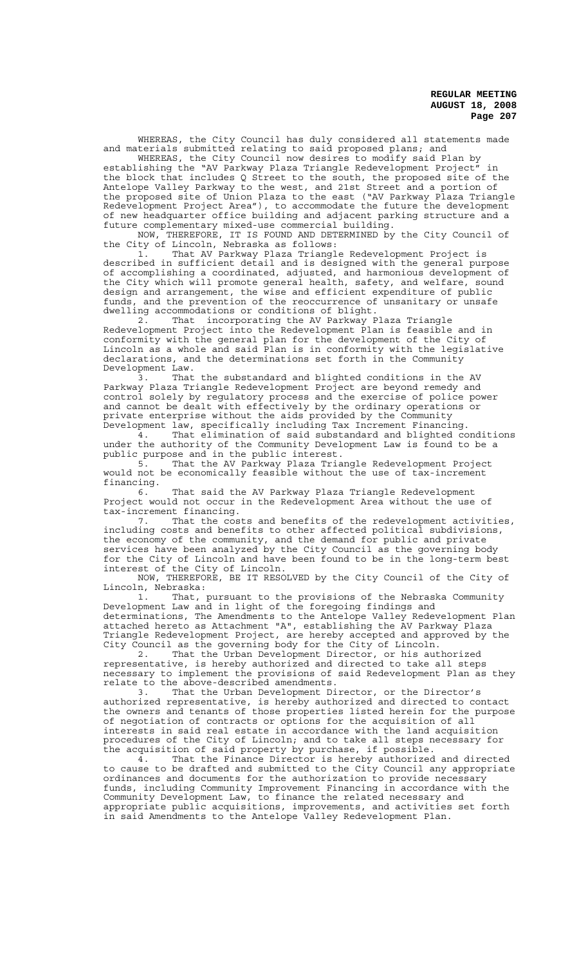WHEREAS, the City Council has duly considered all statements made and materials submitted relating to said proposed plans; and

WHEREAS, the City Council now desires to modify said Plan by establishing the "AV Parkway Plaza Triangle Redevelopment Project" in the block that includes Q Street to the south, the proposed site of the Antelope Valley Parkway to the west, and 21st Street and a portion of the proposed site of Union Plaza to the east ("AV Parkway Plaza Triangle Redevelopment Project Area"), to accommodate the future the development of new headquarter office building and adjacent parking structure and a future complementary mixed-use commercial building.

NOW, THEREFORE, IT IS FOUND AND DETERMINED by the City Council of the City of Lincoln, Nebraska as follows:

1. That AV Parkway Plaza Triangle Redevelopment Project is described in sufficient detail and is designed with the general purpose of accomplishing a coordinated, adjusted, and harmonious development of the City which will promote general health, safety, and welfare, sound design and arrangement, the wise and efficient expenditure of public funds, and the prevention of the reoccurrence of unsanitary or unsafe dwelling accommodations or conditions of blight.

2. That incorporating the AV Parkway Plaza Triangle Redevelopment Project into the Redevelopment Plan is feasible and in conformity with the general plan for the development of the City of Lincoln as a whole and said Plan is in conformity with the legislative declarations, and the determinations set forth in the Community

Development Law.<br>3. That the substandard and blighted conditions in the AV 3. That the substandard and blighted conditions in the AV Parkway Plaza Triangle Redevelopment Project are beyond remedy and control solely by regulatory process and the exercise of police power and cannot be dealt with effectively by the ordinary operations or private enterprise without the aids provided by the Community Development law, specifically including Tax Increment Financing.

4. That elimination of said substandard and blighted conditions under the authority of the Community Development Law is found to be a public purpose and in the public interest.

5. That the AV Parkway Plaza Triangle Redevelopment Project would not be economically feasible without the use of tax-increment financing.

That said the AV Parkway Plaza Triangle Redevelopment Project would not occur in the Redevelopment Area without the use of tax-increment financing.

That the costs and benefits of the redevelopment activities, including costs and benefits to other affected political subdivisions, the economy of the community, and the demand for public and private services have been analyzed by the City Council as the governing body for the City of Lincoln and have been found to be in the long-term best interest of the City of Lincoln.

NOW, THEREFORE, BE IT RESOLVED by the City Council of the City of Lincoln, Nebraska:

1. That, pursuant to the provisions of the Nebraska Community Development Law and in light of the foregoing findings and determinations, The Amendments to the Antelope Valley Redevelopment Plan attached hereto as Attachment "A", establishing the AV Parkway Plaza Triangle Redevelopment Project, are hereby accepted and approved by the City Council as the governing body for the City of Lincoln.

2. That the Urban Development Director, or his authorized representative, is hereby authorized and directed to take all steps necessary to implement the provisions of said Redevelopment Plan as they relate to the above-described amendments.

3. That the Urban Development Director, or the Director's authorized representative, is hereby authorized and directed to contact the owners and tenants of those properties listed herein for the purpose of negotiation of contracts or options for the acquisition of all interests in said real estate in accordance with the land acquisition procedures of the City of Lincoln; and to take all steps necessary for the acquisition of said property by purchase, if possible.

4. That the Finance Director is hereby authorized and directed to cause to be drafted and submitted to the City Council any appropriate ordinances and documents for the authorization to provide necessary funds, including Community Improvement Financing in accordance with the Community Development Law, to finance the related necessary and appropriate public acquisitions, improvements, and activities set forth in said Amendments to the Antelope Valley Redevelopment Plan.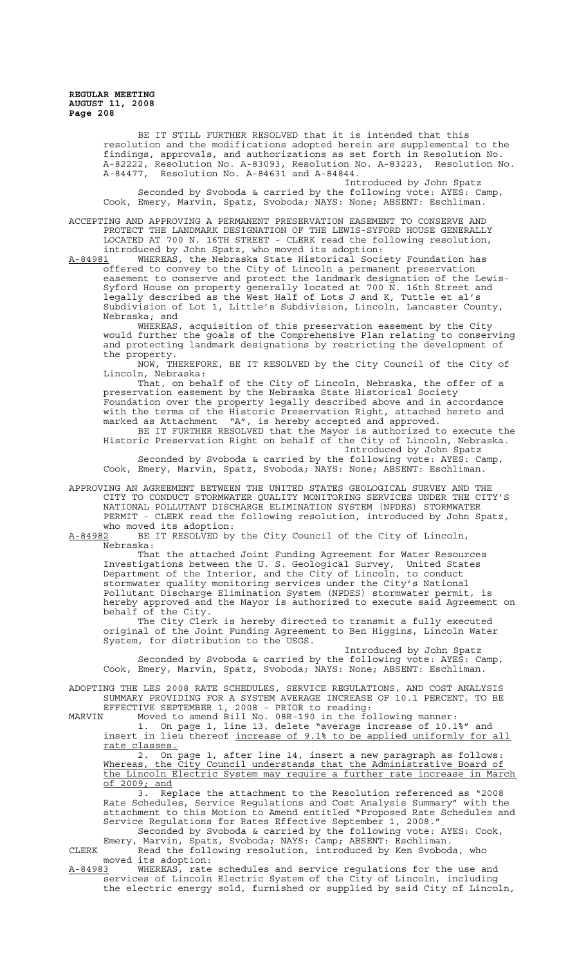> BE IT STILL FURTHER RESOLVED that it is intended that this resolution and the modifications adopted herein are supplemental to the findings, approvals, and authorizations as set forth in Resolution No. A-82222, Resolution No. A-83093, Resolution No. A-83223, Resolution No. A-84477, Resolution No. A-84631 and A-84844.

Introduced by John Spatz Seconded by Svoboda & carried by the following vote: AYES: Camp, Cook, Emery, Marvin, Spatz, Svoboda; NAYS: None; ABSENT: Eschliman.

ACCEPTING AND APPROVING A PERMANENT PRESERVATION EASEMENT TO CONSERVE AND PROTECT THE LANDMARK DESIGNATION OF THE LEWIS-SYFORD HOUSE GENERALLY LOCATED AT 700 N. 16TH STREET - CLERK read the following resolution,

introduced by John Spatz, who moved its adoption:<br>A-84981 WHEREAS, the Nebraska State Historical Soci A-84981 MHEREAS, the Nebraska State Historical Society Foundation has offered to convey to the City of Lincoln a permanent preservation easement to conserve and protect the landmark designation of the Lewis-Syford House on property generally located at 700 N. 16th Street and legally described as the West Half of Lots J and K, Tuttle et al's Subdivision of Lot 1, Little's Subdivision, Lincoln, Lancaster County, Nebraska; and

WHEREAS, acquisition of this preservation easement by the City would further the goals of the Comprehensive Plan relating to conserving and protecting landmark designations by restricting the development of the property.

NOW, THEREFORE, BE IT RESOLVED by the City Council of the City of Lincoln, Nebraska:

That, on behalf of the City of Lincoln, Nebraska, the offer of a preservation easement by the Nebraska State Historical Society Foundation over the property legally described above and in accordance with the terms of the Historic Preservation Right, attached hereto and marked as Attachment "A", is hereby accepted and approved. BE IT FURTHER RESOLVED that the Mayor is authorized to execute the

Historic Preservation Right on behalf of the City of Lincoln, Nebraska. Introduced by John Spatz

Seconded by Svoboda & carried by the following vote: AYES: Camp, Cook, Emery, Marvin, Spatz, Svoboda; NAYS: None; ABSENT: Eschliman.

APPROVING AN AGREEMENT BETWEEN THE UNITED STATES GEOLOGICAL SURVEY AND THE CITY TO CONDUCT STORMWATER QUALITY MONITORING SERVICES UNDER THE CITY'S NATIONAL POLLUTANT DISCHARGE ELIMINATION SYSTEM (NPDES) STORMWATER PERMIT - CLERK read the following resolution, introduced by John Spatz, who moved its adoption:<br>A-84982 BE IT RESOLVED by

BE IT RESOLVED by the City Council of the City of Lincoln, Nebraska:

That the attached Joint Funding Agreement for Water Resources Investigations between the U. S. Geological Survey, United States Department of the Interior, and the City of Lincoln, to conduct stormwater quality monitoring services under the City's National Pollutant Discharge Elimination System (NPDES) stormwater permit, is hereby approved and the Mayor is authorized to execute said Agreement on behalf of the City.

The City Clerk is hereby directed to transmit a fully executed original of the Joint Funding Agreement to Ben Higgins, Lincoln Water System, for distribution to the USGS.

Introduced by John Spatz Seconded by Svoboda & carried by the following vote: AYES: Camp, Cook, Emery, Marvin, Spatz, Svoboda; NAYS: None; ABSENT: Eschliman.

ADOPTING THE LES 2008 RATE SCHEDULES, SERVICE REGULATIONS, AND COST ANALYSIS SUMMARY PROVIDING FOR A SYSTEM AVERAGE INCREASE OF 10.1 PERCENT, TO BE

EFFECTIVE SEPTEMBER 1, 2008 - PRIOR to reading:<br>MARVIN Moved to amend Bill No. 08R-190 in the fo MARVIN Moved to amend Bill No. 08R-190 in the following manner: 1. On page 1, line 13, delete "average increase of 10.1%" and insert in lieu thereof increase of 9.1% to be applied uniformly for all rate classes.

2. On page 1, after line 14, insert a new paragraph as follows: Whereas, the City Council understands that the Administrative Board of the Lincoln Electric System may require a further rate increase in March of 2009; and

3. Replace the attachment to the Resolution referenced as "2008 Rate Schedules, Service Regulations and Cost Analysis Summary" with the attachment to this Motion to Amend entitled "Proposed Rate Schedules and Service Regulations for Rates Effective September 1, 2008." Seconded by Svoboda & carried by the following vote: AYES: Cook,

Emery, Marvin, Spatz, Svoboda; NAYS: Camp; ABSENT: Eschliman. CLERK Read the following resolution, introduced by Ken Svoboda, who

moved its adoption:<br>A-84983 WHEREAS, rate A-84983 WHEREAS, rate schedules and service regulations for the use and services of Lincoln Electric System of the City of Lincoln, including the electric energy sold, furnished or supplied by said City of Lincoln,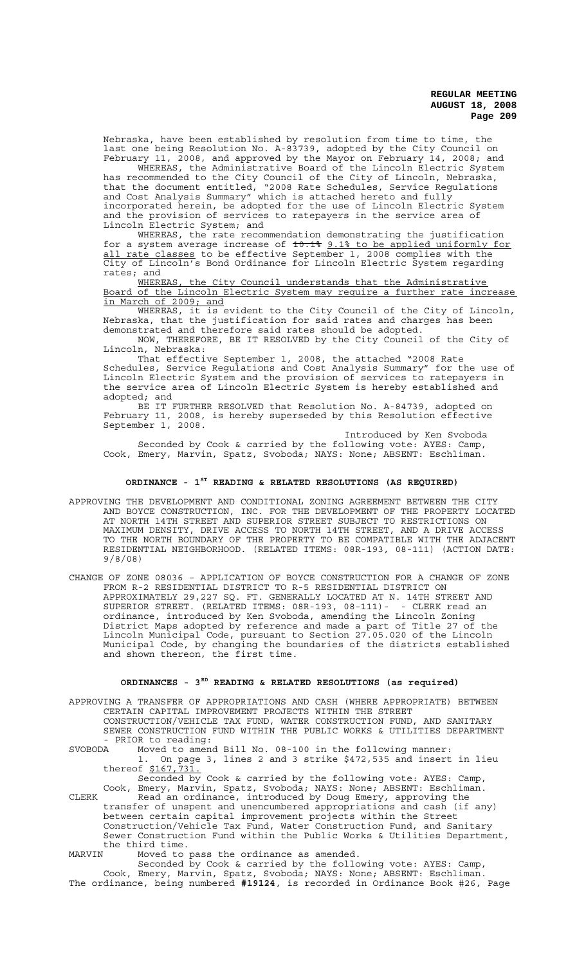Nebraska, have been established by resolution from time to time, the last one being Resolution No. A-83739, adopted by the City Council on February 11, 2008, and approved by the Mayor on February 14, 2008; and

WHEREAS, the Administrative Board of the Lincoln Electric System has recommended to the City Council of the City of Lincoln, Nebraska, that the document entitled, "2008 Rate Schedules, Service Regulations and Cost Analysis Summary" which is attached hereto and fully incorporated herein, be adopted for the use of Lincoln Electric System and the provision of services to ratepayers in the service area of Lincoln Electric System; and

WHEREAS, the rate recommendation demonstrating the justification for a system average increase of  $\texttt{10.18}$  9.1% to be applied uniformly for all rate classes to be effective September 1, 2008 complies with the City of Lincoln's Bond Ordinance for Lincoln Electric System regarding rates; and<br>WHEREAS,

the City Council understands that the Administrative Board of the Lincoln Electric System may require a further rate increase in March of 2009; and

WHEREAS, it is evident to the City Council of the City of Lincoln, Nebraska, that the justification for said rates and charges has been demonstrated and therefore said rates should be adopted.

NOW, THEREFORE, BE IT RESOLVED by the City Council of the City of Lincoln, Nebraska:

That effective September 1, 2008, the attached "2008 Rate Schedules, Service Regulations and Cost Analysis Summary" for the use of Lincoln Electric System and the provision of services to ratepayers in the service area of Lincoln Electric System is hereby established and adopted; and

BE IT FURTHER RESOLVED that Resolution No. A-84739, adopted on February 11, 2008, is hereby superseded by this Resolution effective September 1, 2008.

Introduced by Ken Svoboda Seconded by Cook & carried by the following vote: AYES: Camp, Cook, Emery, Marvin, Spatz, Svoboda; NAYS: None; ABSENT: Eschliman.

# **ORDINANCE - 1ST READING & RELATED RESOLUTIONS (AS REQUIRED)**

- APPROVING THE DEVELOPMENT AND CONDITIONAL ZONING AGREEMENT BETWEEN THE CITY AND BOYCE CONSTRUCTION, INC. FOR THE DEVELOPMENT OF THE PROPERTY LOCATED AT NORTH 14TH STREET AND SUPERIOR STREET SUBJECT TO RESTRICTIONS ON MAXIMUM DENSITY, DRIVE ACCESS TO NORTH 14TH STREET, AND A DRIVE ACCESS TO THE NORTH BOUNDARY OF THE PROPERTY TO BE COMPATIBLE WITH THE ADJACENT RESIDENTIAL NEIGHBORHOOD. (RELATED ITEMS: 08R-193, 08-111) (ACTION DATE: 9/8/08)
- CHANGE OF ZONE 08036 APPLICATION OF BOYCE CONSTRUCTION FOR A CHANGE OF ZONE FROM R-2 RESIDENTIAL DISTRICT TO R-5 RESIDENTIAL DISTRICT ON APPROXIMATELY 29,227 SQ. FT. GENERALLY LOCATED AT N. 14TH STREET AND SUPERIOR STREET. (RELATED ITEMS: 08R-193, 08-111)- - CLERK read an ordinance, introduced by Ken Svoboda, amending the Lincoln Zoning District Maps adopted by reference and made a part of Title 27 of the Lincoln Municipal Code, pursuant to Section 27.05.020 of the Lincoln Municipal Code, by changing the boundaries of the districts established and shown thereon, the first time.

# **ORDINANCES - 3RD READING & RELATED RESOLUTIONS (as required)**

APPROVING A TRANSFER OF APPROPRIATIONS AND CASH (WHERE APPROPRIATE) BETWEEN CERTAIN CAPITAL IMPROVEMENT PROJECTS WITHIN THE STREET

CONSTRUCTION/VEHICLE TAX FUND, WATER CONSTRUCTION FUND, AND SANITARY SEWER CONSTRUCTION FUND WITHIN THE PUBLIC WORKS & UTILITIES DEPARTMENT - PRIOR to reading:<br>SVOBODA Moved to amen

Moved to amend Bill No. 08-100 in the following manner:<br>1. On page 3, lines 2 and 3 strike \$472,535 and insert On page 3, lines 2 and 3 strike \$472,535 and insert in lieu thereof \$167,731.

Seconded by Cook & carried by the following vote: AYES: Camp, Cook, Emery, Marvin, Spatz, Svoboda; NAYS: None; ABSENT: Eschliman. CLERK Read an ordinance, introduced by Doug Emery, approving the transfer of unspent and unencumbered appropriations and cash (if any) between certain capital improvement projects within the Street Construction/Vehicle Tax Fund, Water Construction Fund, and Sanitary Sewer Construction Fund within the Public Works & Utilities Department,

the third time.<br>MARVIN Moved to MARVIN Moved to pass the ordinance as amended.

Seconded by Cook & carried by the following vote: AYES: Camp, Cook, Emery, Marvin, Spatz, Svoboda; NAYS: None; ABSENT: Eschliman. The ordinance, being numbered **#19124**, is recorded in Ordinance Book #26, Page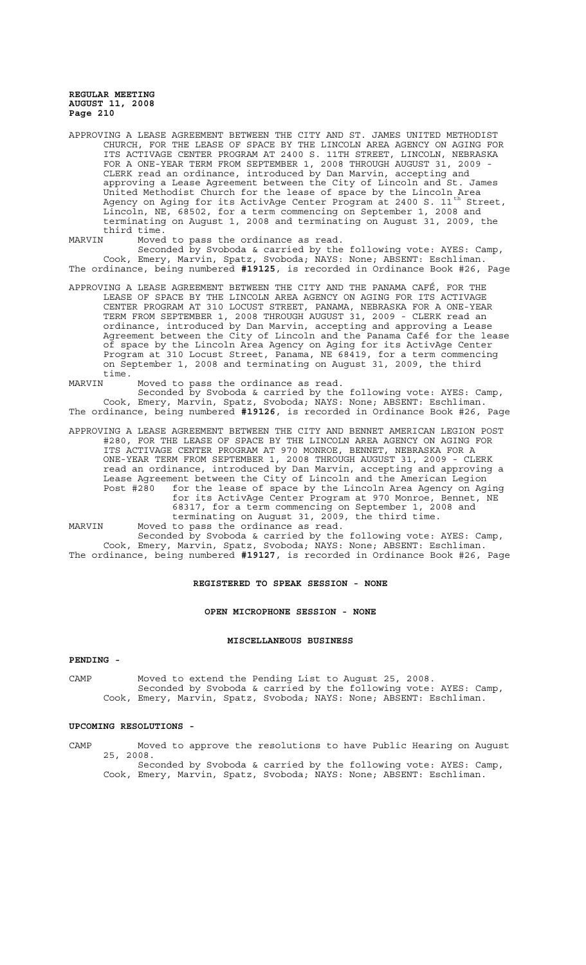APPROVING A LEASE AGREEMENT BETWEEN THE CITY AND ST. JAMES UNITED METHODIST CHURCH, FOR THE LEASE OF SPACE BY THE LINCOLN AREA AGENCY ON AGING FOR ITS ACTIVAGE CENTER PROGRAM AT 2400 S. 11TH STREET, LINCOLN, NEBRASKA FOR A ONE-YEAR TERM FROM SEPTEMBER 1, 2008 THROUGH AUGUST 31, 2009 CLERK read an ordinance, introduced by Dan Marvin, accepting and approving a Lease Agreement between the City of Lincoln and St. James United Methodist Church for the lease of space by the Lincoln Area Agency on Aging for its ActivAge Center Program at 2400 S.  $11^{\text{th}}$  Street, Lincoln, NE, 68502, for a term commencing on September 1, 2008 and terminating on August 1, 2008 and terminating on August 31, 2009, the third time.<br>MARVIN Mover

Moved to pass the ordinance as read.

Seconded by Svoboda & carried by the following vote: AYES: Camp, Cook, Emery, Marvin, Spatz, Svoboda; NAYS: None; ABSENT: Eschliman. The ordinance, being numbered **#19125**, is recorded in Ordinance Book #26, Page

APPROVING A LEASE AGREEMENT BETWEEN THE CITY AND THE PANAMA CAFÉ, FOR THE LEASE OF SPACE BY THE LINCOLN AREA AGENCY ON AGING FOR ITS ACTIVAGE CENTER PROGRAM AT 310 LOCUST STREET, PANAMA, NEBRASKA FOR A ONE-YEAR TERM FROM SEPTEMBER 1, 2008 THROUGH AUGUST 31, 2009 - CLERK read an ordinance, introduced by Dan Marvin, accepting and approving a Lease Agreement between the City of Lincoln and the Panama Café for the lease of space by the Lincoln Area Agency on Aging for its ActivAge Center Program at 310 Locust Street, Panama, NE 68419, for a term commencing on September 1, 2008 and terminating on August 31, 2009, the third time.<br>MARVIN

Moved to pass the ordinance as read.

Seconded by Svoboda & carried by the following vote: AYES: Camp, Cook, Emery, Marvin, Spatz, Svoboda; NAYS: None; ABSENT: Eschliman. The ordinance, being numbered **#19126**, is recorded in Ordinance Book #26, Page

APPROVING A LEASE AGREEMENT BETWEEN THE CITY AND BENNET AMERICAN LEGION POST #280, FOR THE LEASE OF SPACE BY THE LINCOLN AREA AGENCY ON AGING FOR ITS ACTIVAGE CENTER PROGRAM AT 970 MONROE, BENNET, NEBRASKA FOR A ONE-YEAR TERM FROM SEPTEMBER 1, 2008 THROUGH AUGUST 31, 2009 - CLERK read an ordinance, introduced by Dan Marvin, accepting and approving a Lease Agreement between the City of Lincoln and the American Legion<br>Post #280 for the lease of space by the Lincoln Area Agency on Ag for the lease of space by the Lincoln Area Agency on Aging for its ActivAge Center Program at 970 Monroe, Bennet, NE 68317, for a term commencing on September 1, 2008 and terminating on August 31, 2009, the third time. MARVIN Moved to pass the ordinance as read.

Seconded by Svoboda & carried by the following vote: AYES: Camp, Cook, Emery, Marvin, Spatz, Svoboda; NAYS: None; ABSENT: Eschliman. The ordinance, being numbered **#19127**, is recorded in Ordinance Book #26, Page

#### **REGISTERED TO SPEAK SESSION - NONE**

# **OPEN MICROPHONE SESSION - NONE**

#### **MISCELLANEOUS BUSINESS**

# **PENDING -**

CAMP Moved to extend the Pending List to August 25, 2008. Seconded by Svoboda & carried by the following vote: AYES: Camp, Cook, Emery, Marvin, Spatz, Svoboda; NAYS: None; ABSENT: Eschliman.

# **UPCOMING RESOLUTIONS -**

CAMP Moved to approve the resolutions to have Public Hearing on August 25, 2008. Seconded by Svoboda & carried by the following vote: AYES: Camp, Cook, Emery, Marvin, Spatz, Svoboda; NAYS: None; ABSENT: Eschliman.